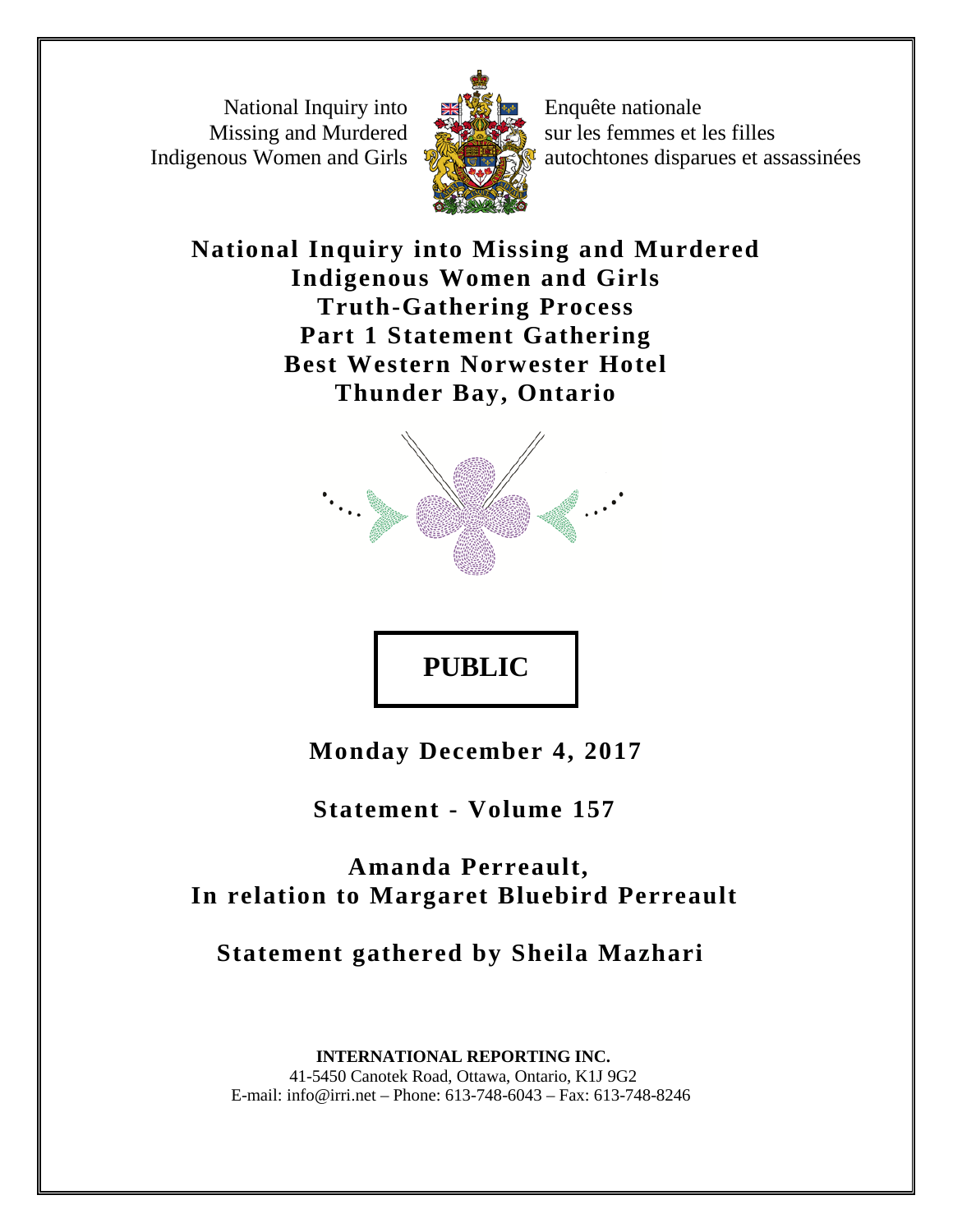National Inquiry into Missing and Murdered Indigenous Women and Girls



Enquête nationale sur les femmes et les filles autochtones disparues et assassinées

**National Inquiry into Missing and Murdered Indigenous Women and Girls Truth-Gathering Process Part 1 Statement Gathering Best Western Norwester Hotel Thunder Bay, Ontario**



## **PUBLIC**

**Monday December 4, 2017**

 **Statement - Volume 157**

 **Amanda Perreault, In relation to Margaret Bluebird Perreault**

 **Statement gathered by Sheila Mazhari**

 **INTERNATIONAL REPORTING INC.** 41-5450 Canotek Road, Ottawa, Ontario, K1J 9G2 E-mail: info@irri.net – Phone: 613-748-6043 – Fax: 613-748-8246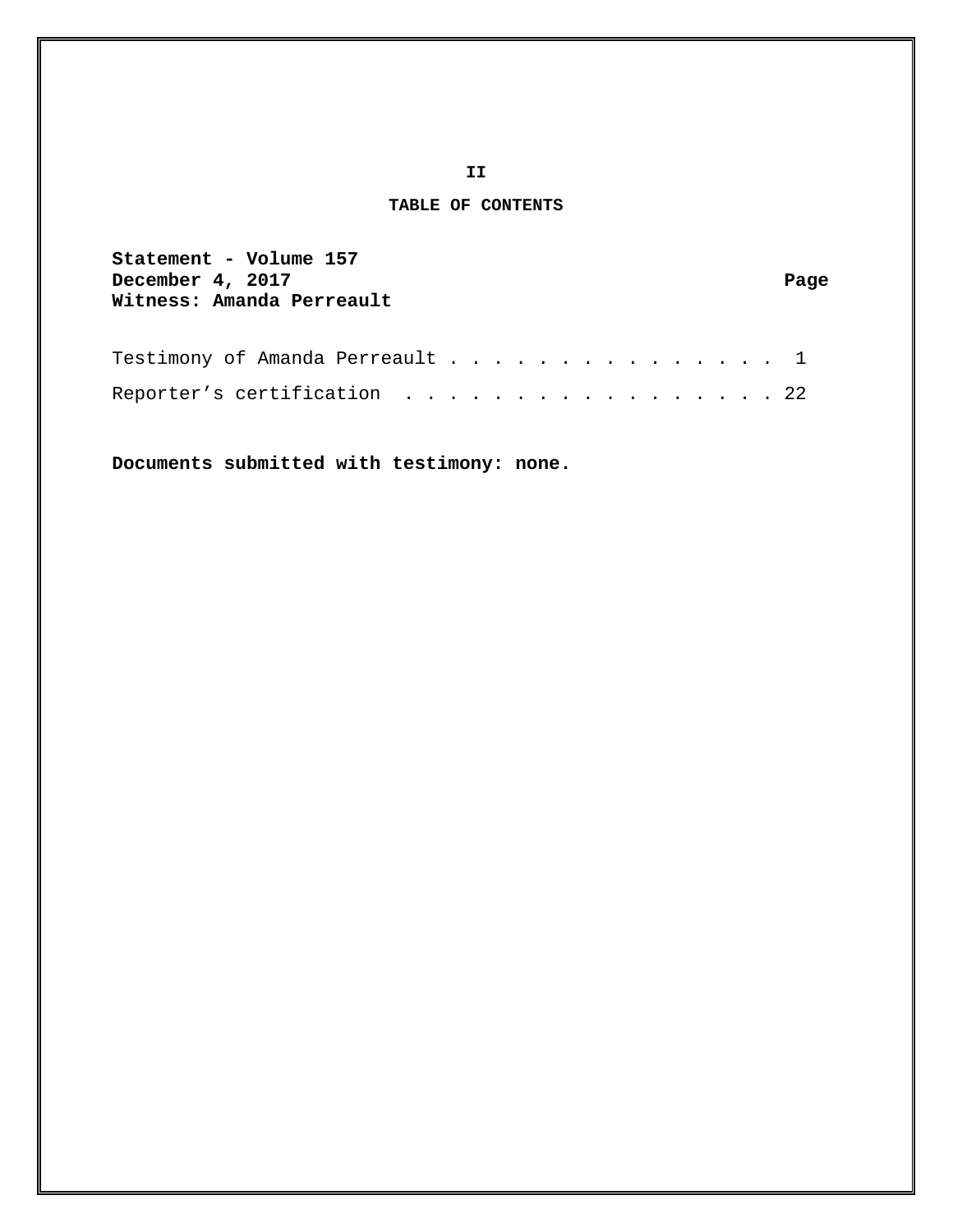## **TABLE OF CONTENTS**

| Statement - Volume 157<br>December 4, 2017 | Page |
|--------------------------------------------|------|
| Witness: Amanda Perreault                  |      |
|                                            |      |
|                                            |      |

| Testimony of Amanda Perreault 1 |  |  |  |  |  |  |  |  |  |  |  |
|---------------------------------|--|--|--|--|--|--|--|--|--|--|--|
| Reporter's certification 22     |  |  |  |  |  |  |  |  |  |  |  |

**Documents submitted with testimony: none.**

**II**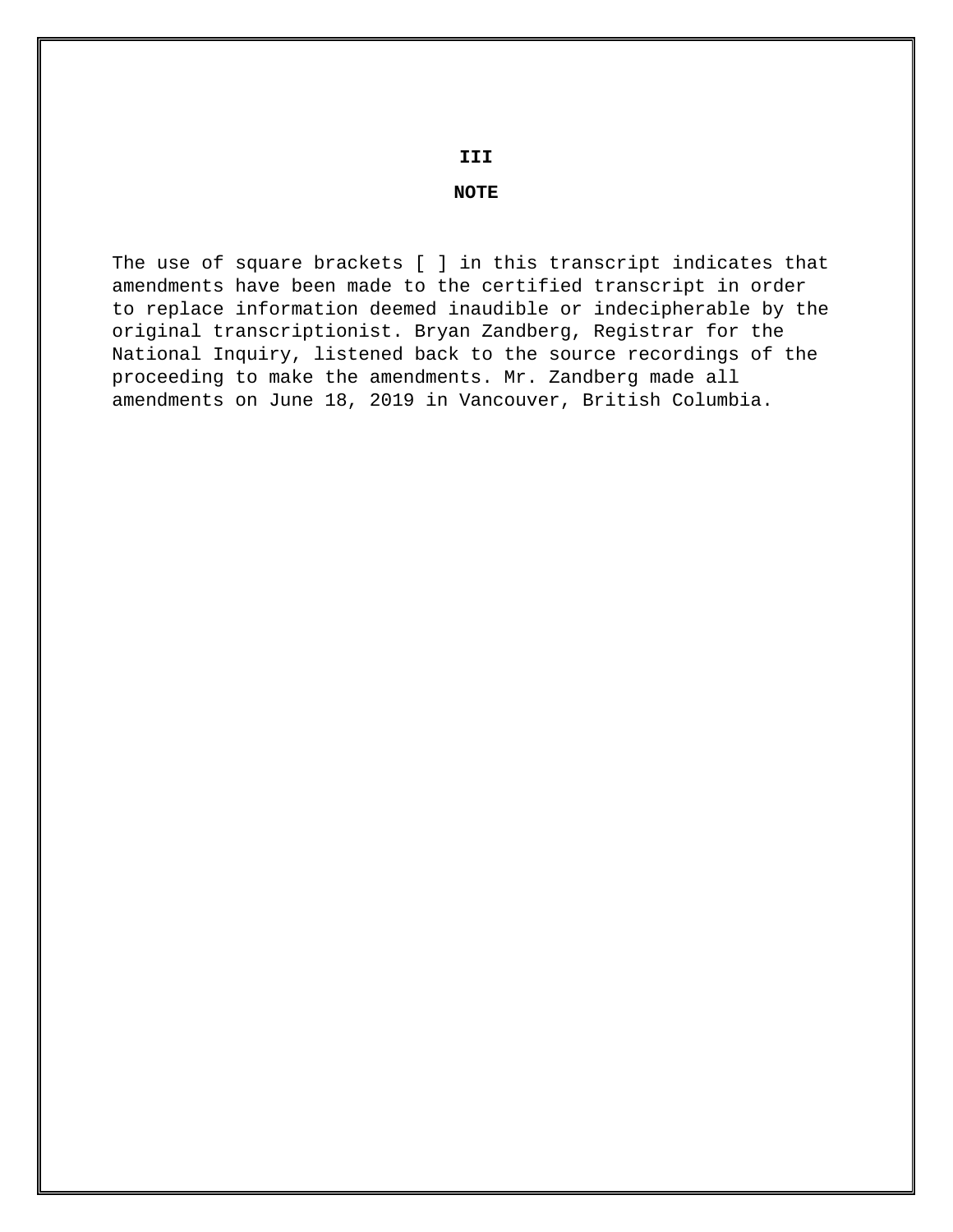**III**

## **NOTE**

The use of square brackets [ ] in this transcript indicates that amendments have been made to the certified transcript in order to replace information deemed inaudible or indecipherable by the original transcriptionist. Bryan Zandberg, Registrar for the National Inquiry, listened back to the source recordings of the proceeding to make the amendments. Mr. Zandberg made all amendments on June 18, 2019 in Vancouver, British Columbia.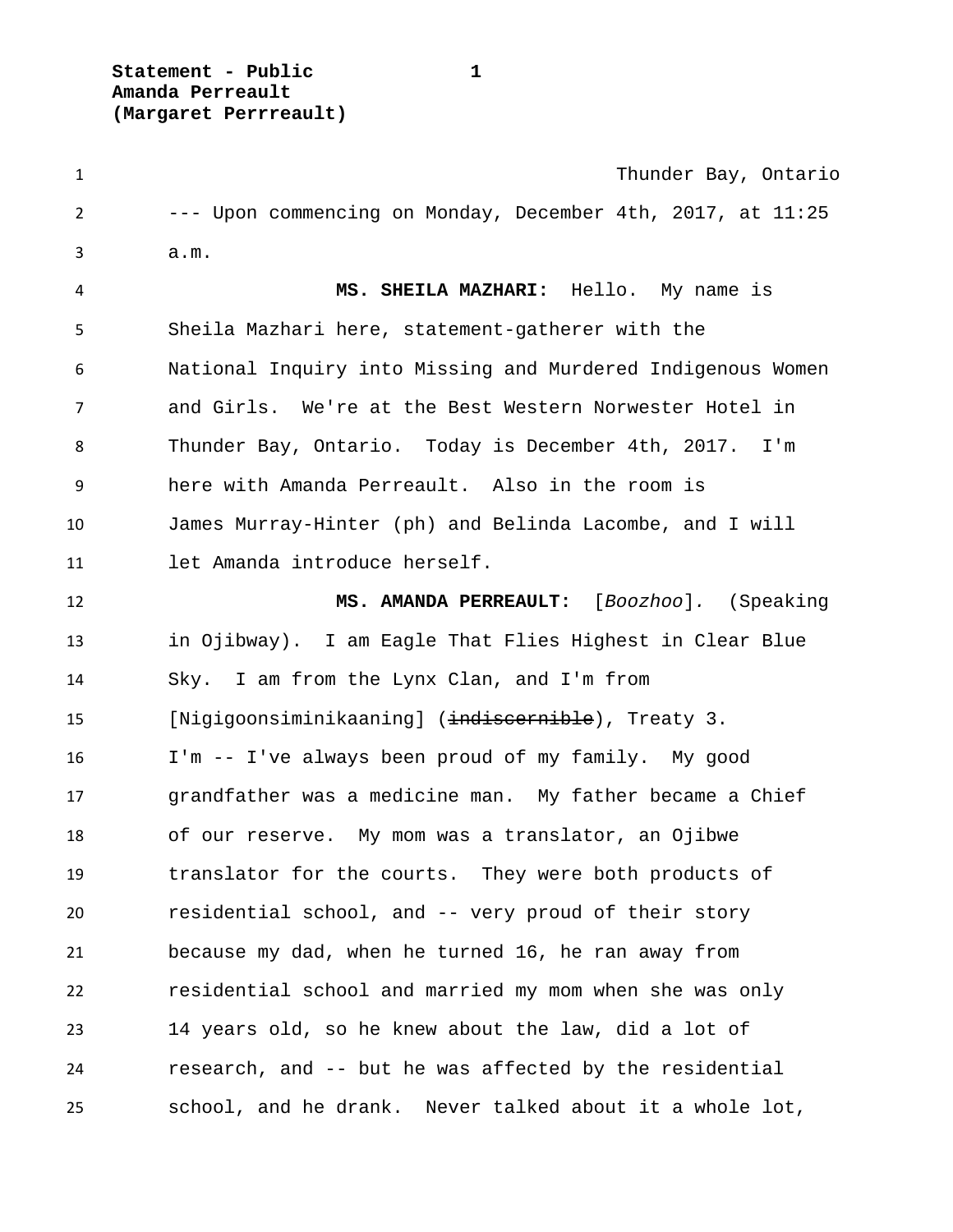**Statement - Public 1 Amanda Perreault (Margaret Perrreault)**

 Thunder Bay, Ontario --- Upon commencing on Monday, December 4th, 2017, at 11:25 a.m. **MS. SHEILA MAZHARI:** Hello. My name is Sheila Mazhari here, statement-gatherer with the National Inquiry into Missing and Murdered Indigenous Women and Girls. We're at the Best Western Norwester Hotel in Thunder Bay, Ontario. Today is December 4th, 2017. I'm here with Amanda Perreault. Also in the room is James Murray-Hinter (ph) and Belinda Lacombe, and I will let Amanda introduce herself. **MS. AMANDA PERREAULT:** [*Boozhoo*]*.* (Speaking in Ojibway). I am Eagle That Flies Highest in Clear Blue Sky. I am from the Lynx Clan, and I'm from 15 [Nigigoonsiminikaaning] (indiscernible), Treaty 3. I'm -- I've always been proud of my family. My good grandfather was a medicine man. My father became a Chief of our reserve. My mom was a translator, an Ojibwe translator for the courts. They were both products of residential school, and -- very proud of their story because my dad, when he turned 16, he ran away from residential school and married my mom when she was only 14 years old, so he knew about the law, did a lot of research, and -- but he was affected by the residential school, and he drank. Never talked about it a whole lot,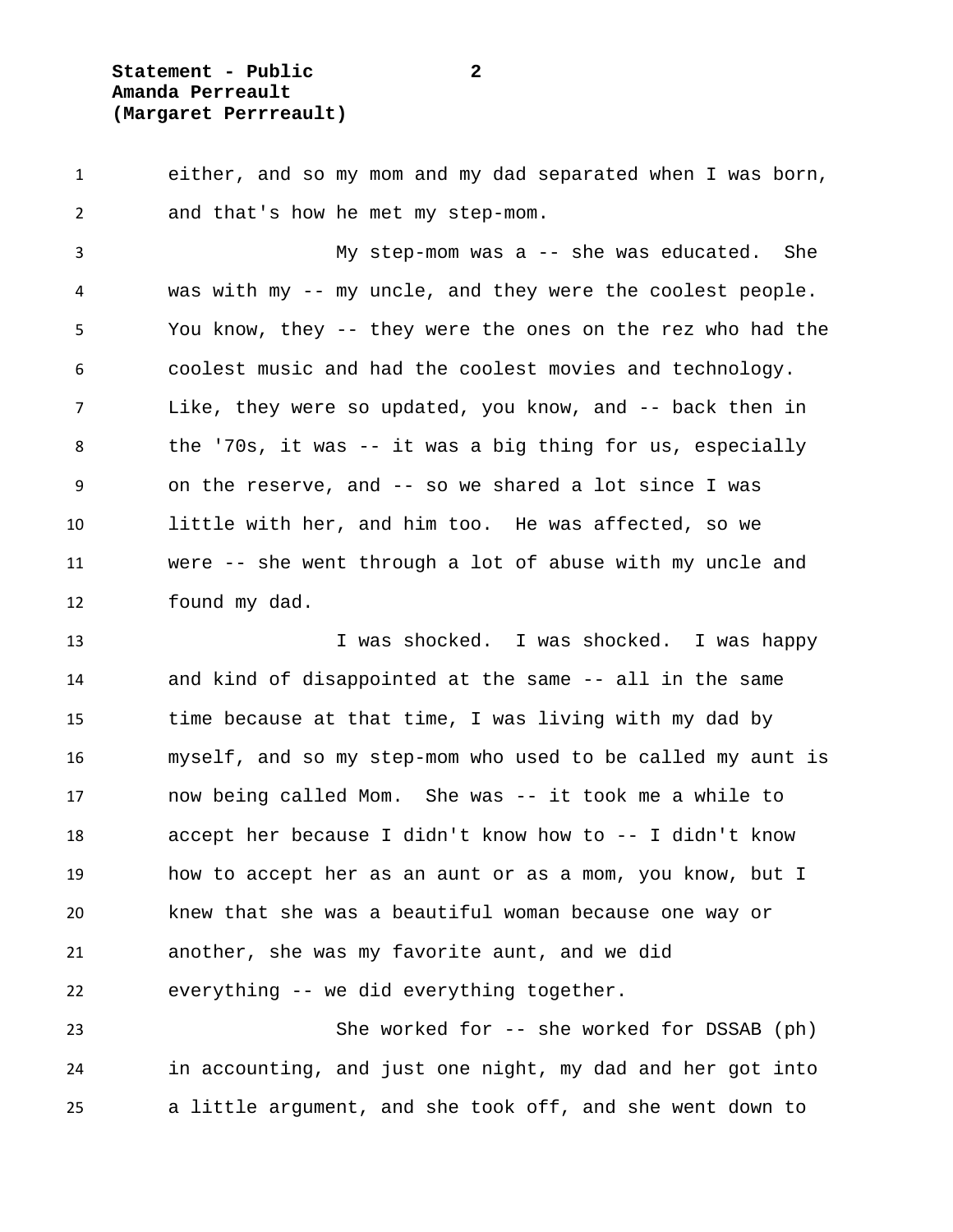**Statement - Public 2 Amanda Perreault (Margaret Perrreault)**

 either, and so my mom and my dad separated when I was born, and that's how he met my step-mom.

 My step-mom was a -- she was educated. She was with my -- my uncle, and they were the coolest people. You know, they -- they were the ones on the rez who had the coolest music and had the coolest movies and technology. Like, they were so updated, you know, and -- back then in the '70s, it was -- it was a big thing for us, especially on the reserve, and -- so we shared a lot since I was little with her, and him too. He was affected, so we were -- she went through a lot of abuse with my uncle and found my dad.

13 I was shocked. I was shocked. I was happy and kind of disappointed at the same -- all in the same time because at that time, I was living with my dad by myself, and so my step-mom who used to be called my aunt is now being called Mom. She was -- it took me a while to accept her because I didn't know how to -- I didn't know how to accept her as an aunt or as a mom, you know, but I knew that she was a beautiful woman because one way or another, she was my favorite aunt, and we did everything -- we did everything together.

 She worked for -- she worked for DSSAB (ph) in accounting, and just one night, my dad and her got into a little argument, and she took off, and she went down to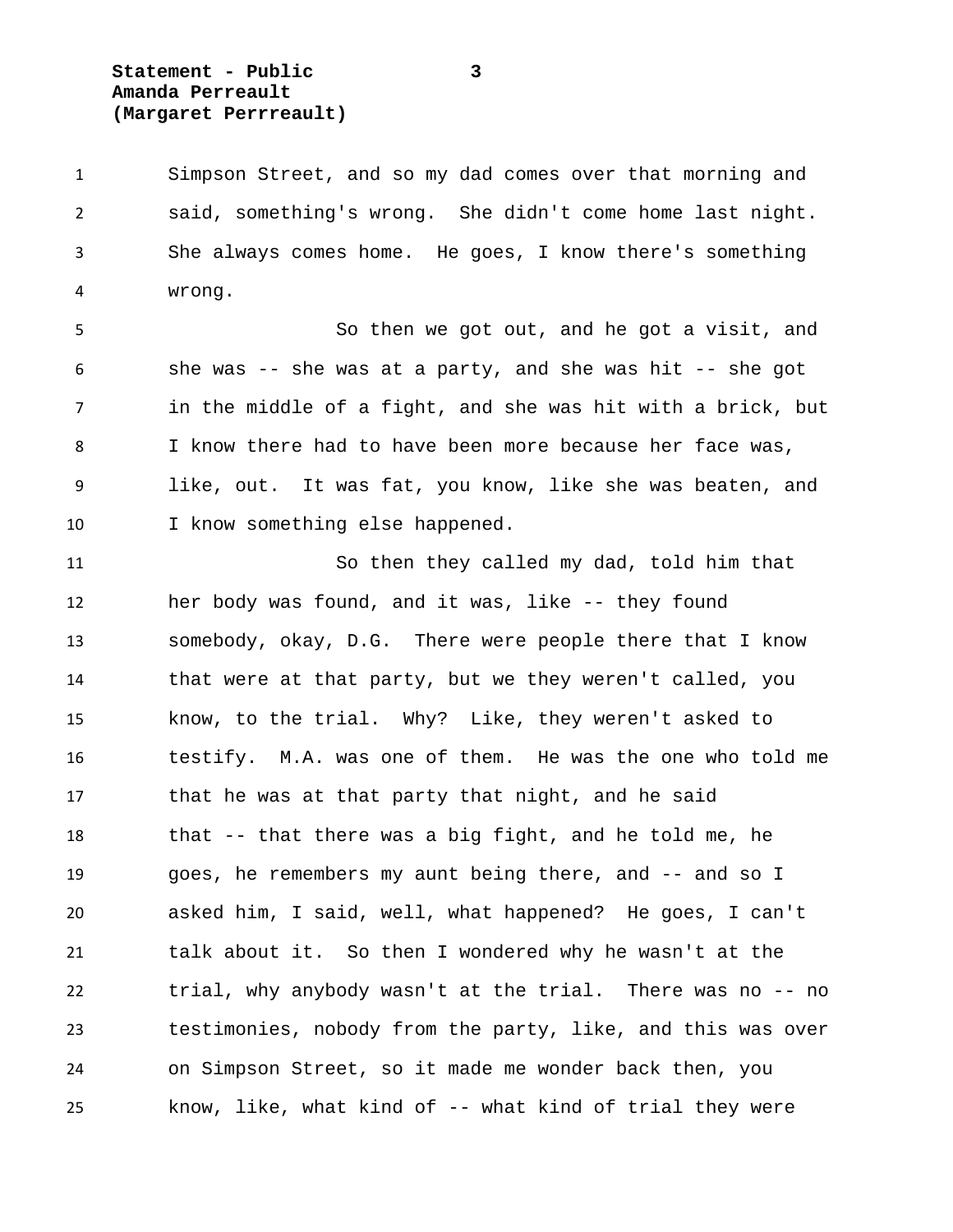**Statement - Public 3 Amanda Perreault (Margaret Perrreault)**

 Simpson Street, and so my dad comes over that morning and said, something's wrong. She didn't come home last night. She always comes home. He goes, I know there's something wrong.

 So then we got out, and he got a visit, and she was -- she was at a party, and she was hit -- she got in the middle of a fight, and she was hit with a brick, but I know there had to have been more because her face was, like, out. It was fat, you know, like she was beaten, and 10 I know something else happened.

 So then they called my dad, told him that her body was found, and it was, like -- they found somebody, okay, D.G. There were people there that I know that were at that party, but we they weren't called, you know, to the trial. Why? Like, they weren't asked to testify. M.A. was one of them. He was the one who told me that he was at that party that night, and he said that -- that there was a big fight, and he told me, he goes, he remembers my aunt being there, and -- and so I asked him, I said, well, what happened? He goes, I can't talk about it. So then I wondered why he wasn't at the trial, why anybody wasn't at the trial. There was no -- no testimonies, nobody from the party, like, and this was over on Simpson Street, so it made me wonder back then, you know, like, what kind of -- what kind of trial they were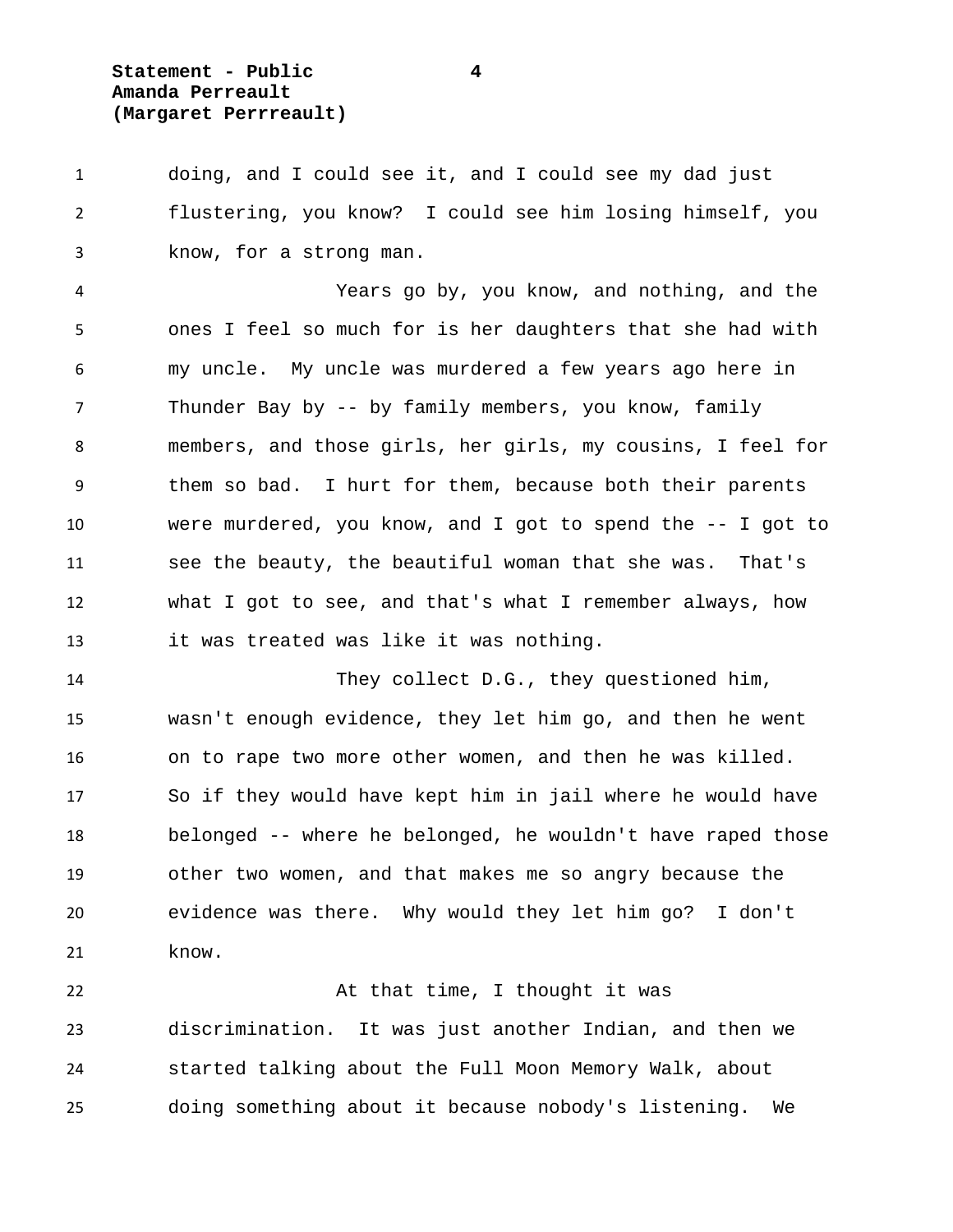**Statement - Public 4 Amanda Perreault (Margaret Perrreault)**

 doing, and I could see it, and I could see my dad just flustering, you know? I could see him losing himself, you know, for a strong man.

 Years go by, you know, and nothing, and the ones I feel so much for is her daughters that she had with my uncle. My uncle was murdered a few years ago here in Thunder Bay by -- by family members, you know, family members, and those girls, her girls, my cousins, I feel for them so bad. I hurt for them, because both their parents were murdered, you know, and I got to spend the -- I got to see the beauty, the beautiful woman that she was. That's what I got to see, and that's what I remember always, how it was treated was like it was nothing.

 They collect D.G., they questioned him, wasn't enough evidence, they let him go, and then he went on to rape two more other women, and then he was killed. So if they would have kept him in jail where he would have belonged -- where he belonged, he wouldn't have raped those other two women, and that makes me so angry because the evidence was there. Why would they let him go? I don't know.

22 At that time, I thought it was discrimination. It was just another Indian, and then we started talking about the Full Moon Memory Walk, about doing something about it because nobody's listening. We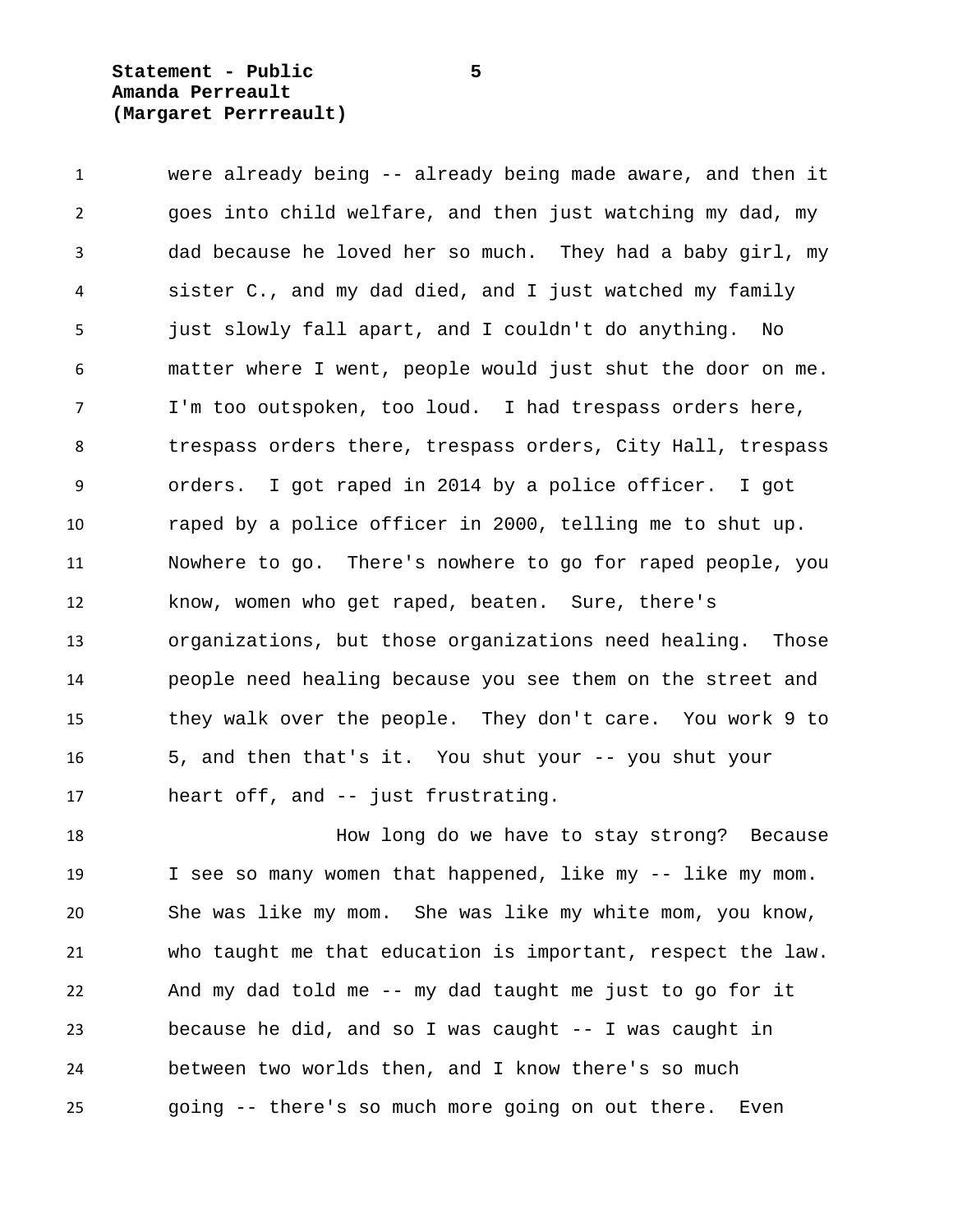**Statement - Public 5 Amanda Perreault (Margaret Perrreault)**

 were already being -- already being made aware, and then it goes into child welfare, and then just watching my dad, my dad because he loved her so much. They had a baby girl, my sister C., and my dad died, and I just watched my family just slowly fall apart, and I couldn't do anything. No matter where I went, people would just shut the door on me. I'm too outspoken, too loud. I had trespass orders here, trespass orders there, trespass orders, City Hall, trespass orders. I got raped in 2014 by a police officer. I got raped by a police officer in 2000, telling me to shut up. Nowhere to go. There's nowhere to go for raped people, you know, women who get raped, beaten. Sure, there's organizations, but those organizations need healing. Those people need healing because you see them on the street and they walk over the people. They don't care. You work 9 to 5, and then that's it. You shut your -- you shut your heart off, and -- just frustrating.

 How long do we have to stay strong? Because I see so many women that happened, like my -- like my mom. She was like my mom. She was like my white mom, you know, who taught me that education is important, respect the law. And my dad told me -- my dad taught me just to go for it because he did, and so I was caught -- I was caught in between two worlds then, and I know there's so much going -- there's so much more going on out there. Even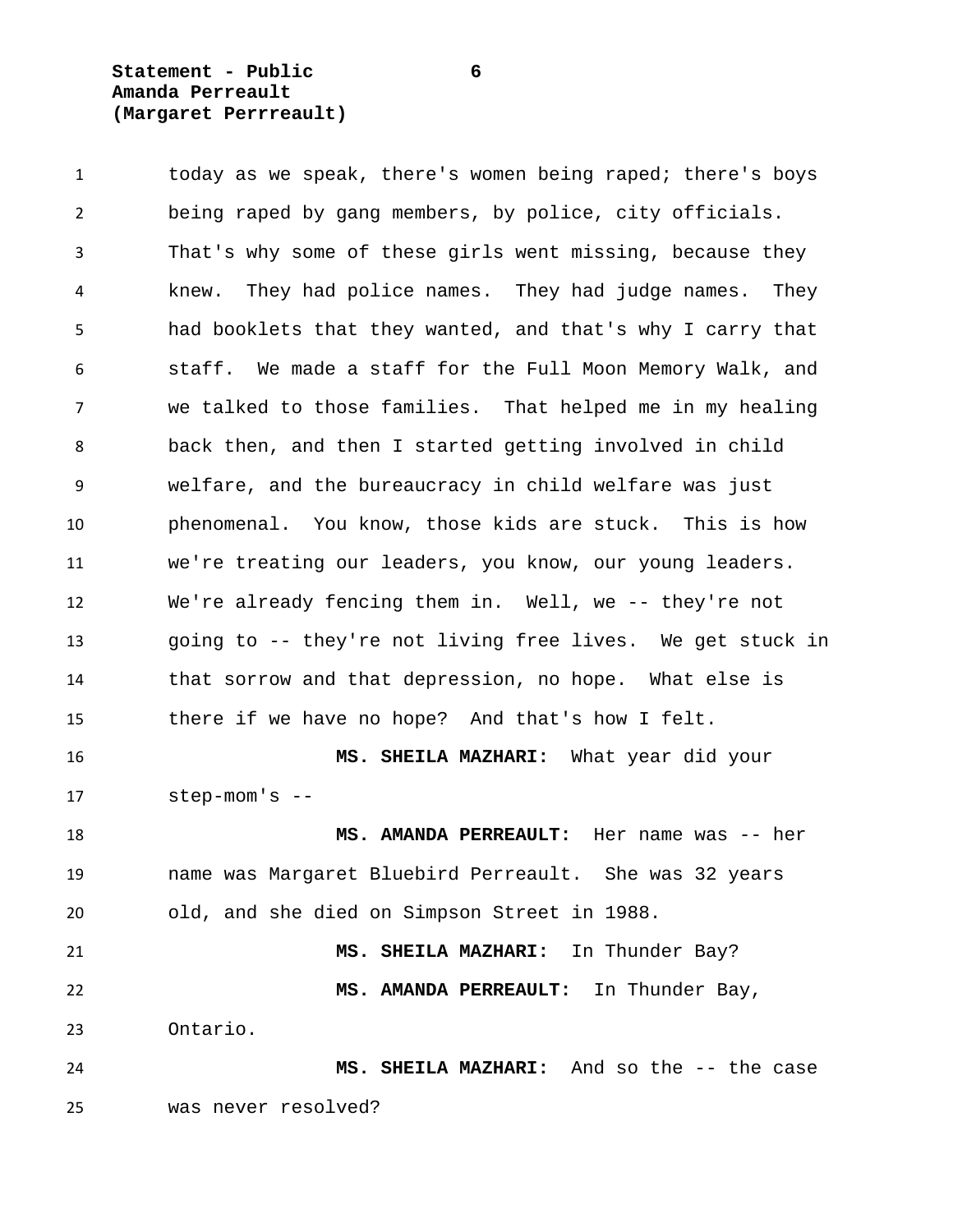**Statement - Public 6 Amanda Perreault (Margaret Perrreault)**

 today as we speak, there's women being raped; there's boys being raped by gang members, by police, city officials. That's why some of these girls went missing, because they knew. They had police names. They had judge names. They had booklets that they wanted, and that's why I carry that staff. We made a staff for the Full Moon Memory Walk, and we talked to those families. That helped me in my healing back then, and then I started getting involved in child welfare, and the bureaucracy in child welfare was just phenomenal. You know, those kids are stuck. This is how we're treating our leaders, you know, our young leaders. We're already fencing them in. Well, we -- they're not going to -- they're not living free lives. We get stuck in that sorrow and that depression, no hope. What else is there if we have no hope? And that's how I felt. **MS. SHEILA MAZHARI:** What year did your step-mom's -- **MS. AMANDA PERREAULT:** Her name was -- her name was Margaret Bluebird Perreault. She was 32 years old, and she died on Simpson Street in 1988. **MS. SHEILA MAZHARI:** In Thunder Bay? **MS. AMANDA PERREAULT:** In Thunder Bay, Ontario. **MS. SHEILA MAZHARI:** And so the -- the case was never resolved?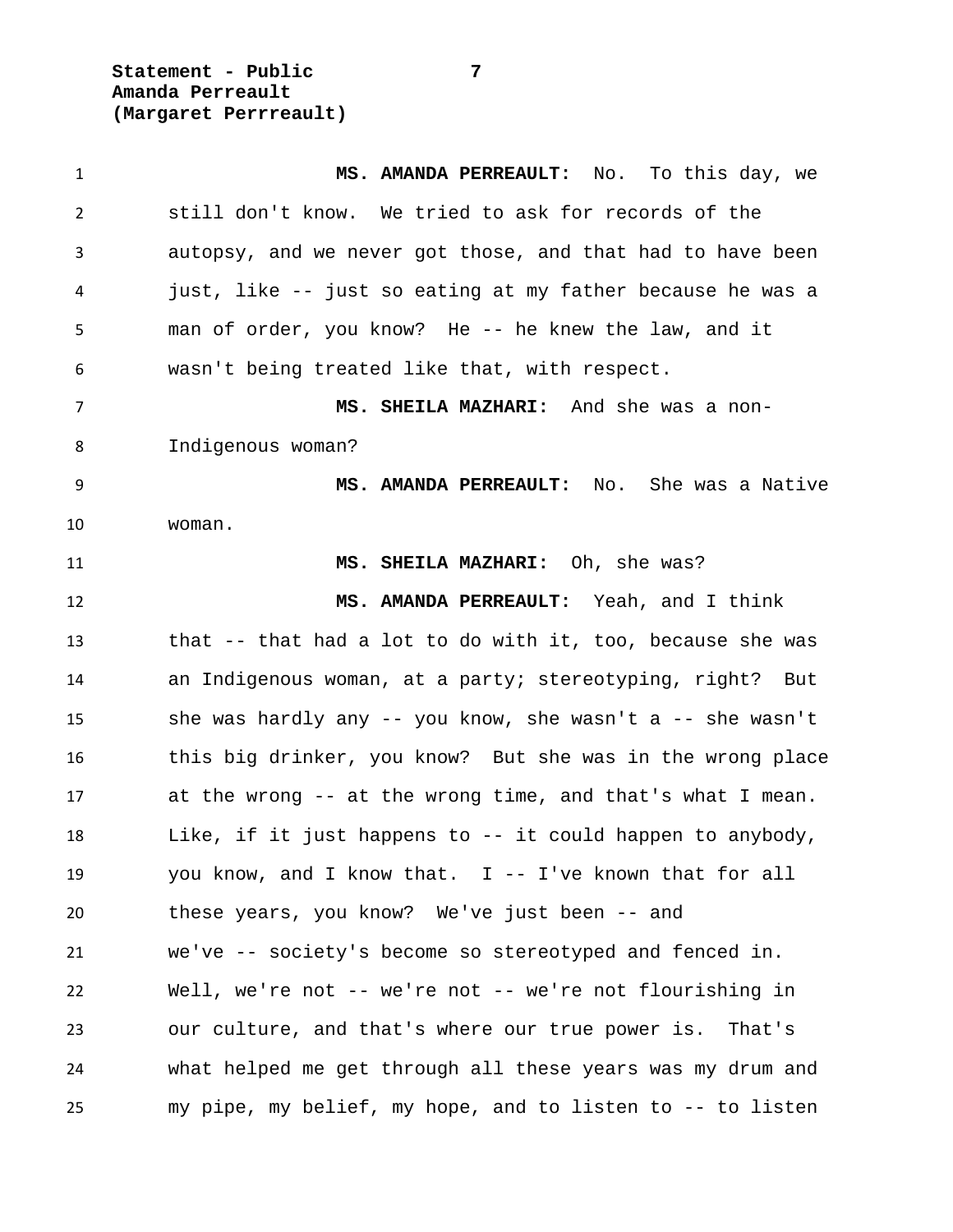**Statement - Public 7 Amanda Perreault (Margaret Perrreault)**

 **MS. AMANDA PERREAULT:** No. To this day, we still don't know. We tried to ask for records of the autopsy, and we never got those, and that had to have been just, like -- just so eating at my father because he was a man of order, you know? He -- he knew the law, and it wasn't being treated like that, with respect. **MS. SHEILA MAZHARI:** And she was a non- Indigenous woman? **MS. AMANDA PERREAULT:** No. She was a Native woman. **MS. SHEILA MAZHARI:** Oh, she was? **MS. AMANDA PERREAULT:** Yeah, and I think that -- that had a lot to do with it, too, because she was an Indigenous woman, at a party; stereotyping, right? But she was hardly any -- you know, she wasn't a -- she wasn't this big drinker, you know? But she was in the wrong place at the wrong -- at the wrong time, and that's what I mean. Like, if it just happens to -- it could happen to anybody, you know, and I know that. I -- I've known that for all these years, you know? We've just been -- and we've -- society's become so stereotyped and fenced in. Well, we're not -- we're not -- we're not flourishing in our culture, and that's where our true power is. That's what helped me get through all these years was my drum and my pipe, my belief, my hope, and to listen to -- to listen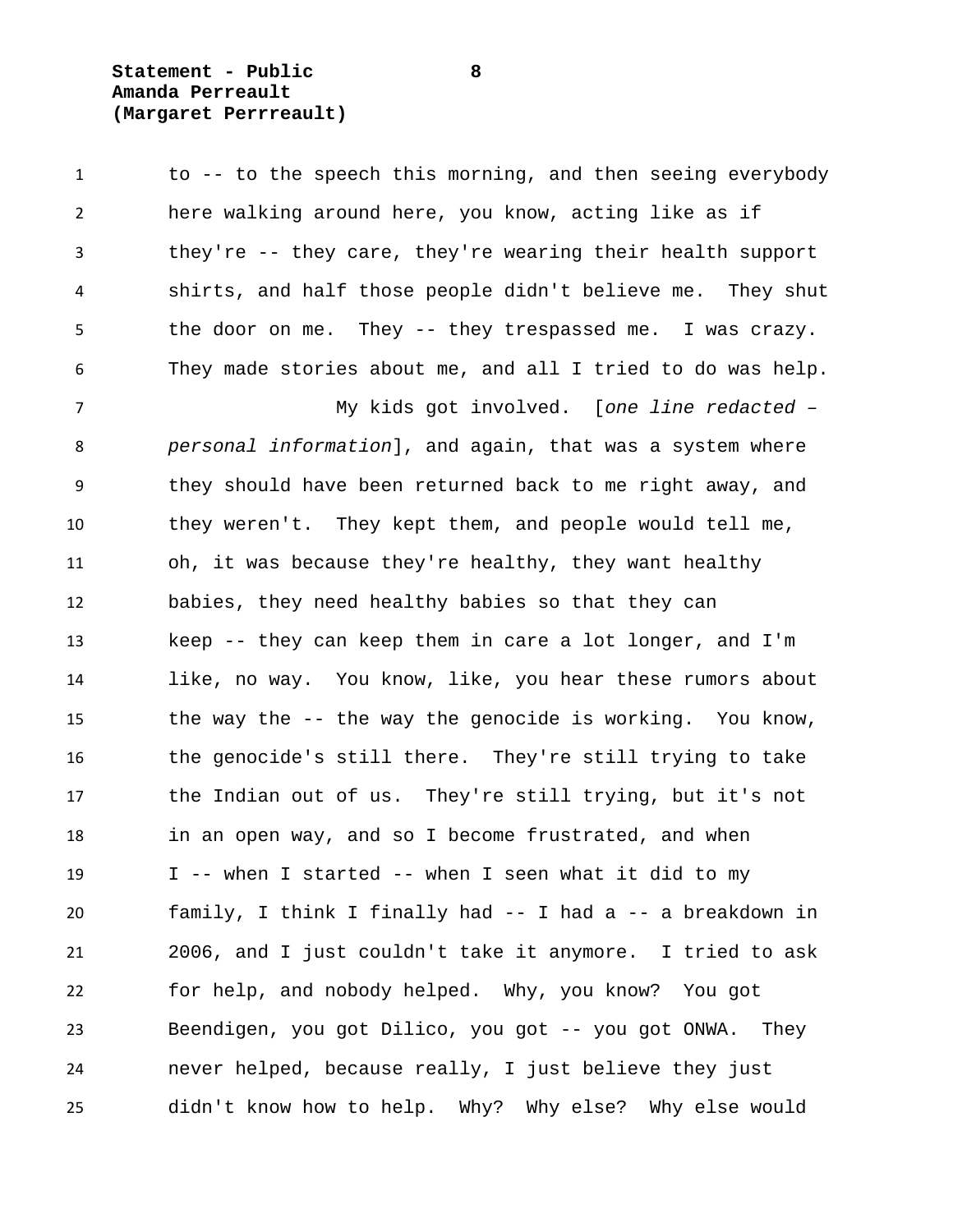**Statement - Public 8 Amanda Perreault (Margaret Perrreault)**

 to -- to the speech this morning, and then seeing everybody here walking around here, you know, acting like as if they're -- they care, they're wearing their health support shirts, and half those people didn't believe me. They shut the door on me. They -- they trespassed me. I was crazy. They made stories about me, and all I tried to do was help. My kids got involved. [*one line redacted – personal information*], and again, that was a system where they should have been returned back to me right away, and they weren't. They kept them, and people would tell me, oh, it was because they're healthy, they want healthy babies, they need healthy babies so that they can keep -- they can keep them in care a lot longer, and I'm like, no way. You know, like, you hear these rumors about the way the -- the way the genocide is working. You know, the genocide's still there. They're still trying to take the Indian out of us. They're still trying, but it's not in an open way, and so I become frustrated, and when I -- when I started -- when I seen what it did to my family, I think I finally had -- I had a -- a breakdown in 2006, and I just couldn't take it anymore. I tried to ask for help, and nobody helped. Why, you know? You got Beendigen, you got Dilico, you got -- you got ONWA. They never helped, because really, I just believe they just didn't know how to help. Why? Why else? Why else would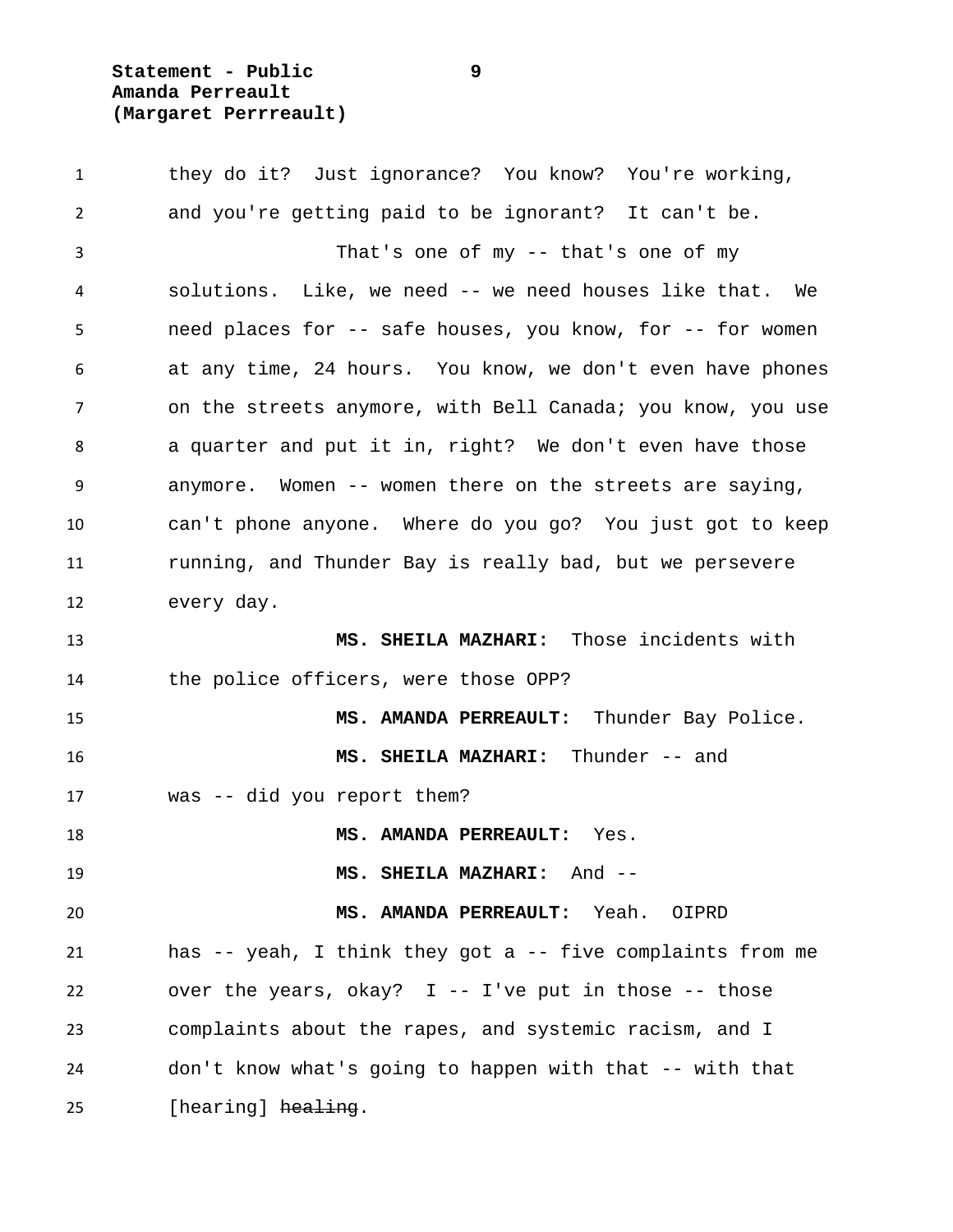**Statement - Public 9 Amanda Perreault (Margaret Perrreault)**

 they do it? Just ignorance? You know? You're working, and you're getting paid to be ignorant? It can't be. That's one of my -- that's one of my solutions. Like, we need -- we need houses like that. We need places for -- safe houses, you know, for -- for women at any time, 24 hours. You know, we don't even have phones 7 on the streets anymore, with Bell Canada; you know, you use a quarter and put it in, right? We don't even have those anymore. Women -- women there on the streets are saying, can't phone anyone. Where do you go? You just got to keep running, and Thunder Bay is really bad, but we persevere every day. **MS. SHEILA MAZHARI:** Those incidents with the police officers, were those OPP? **MS. AMANDA PERREAULT:** Thunder Bay Police. **MS. SHEILA MAZHARI:** Thunder -- and was -- did you report them? **MS. AMANDA PERREAULT:** Yes. **MS. SHEILA MAZHARI:** And -- **MS. AMANDA PERREAULT:** Yeah. OIPRD has -- yeah, I think they got a -- five complaints from me over the years, okay? I -- I've put in those -- those complaints about the rapes, and systemic racism, and I don't know what's going to happen with that -- with that 25 [hearing] healing.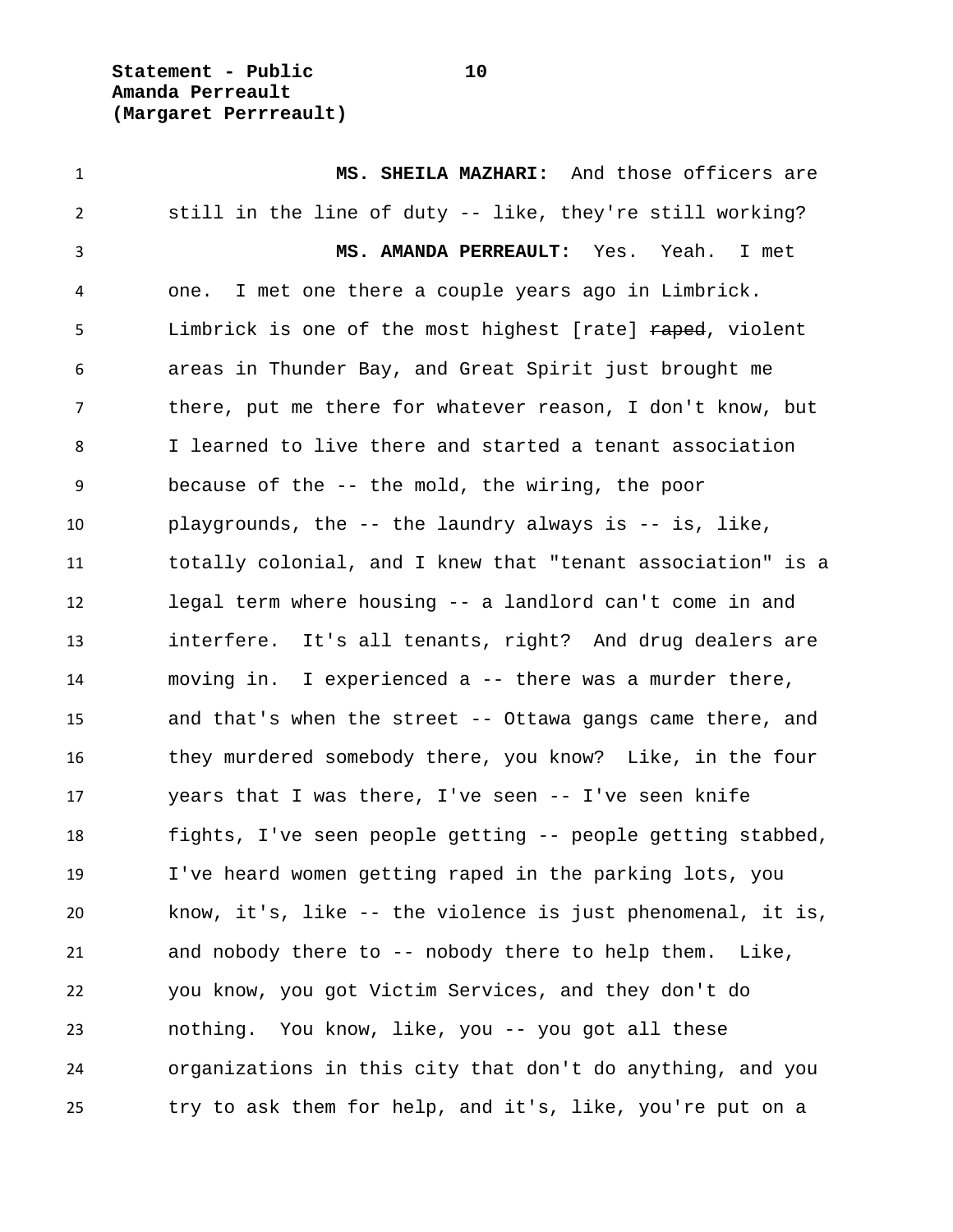**Statement - Public 10 Amanda Perreault (Margaret Perrreault)**

 **MS. SHEILA MAZHARI:** And those officers are still in the line of duty -- like, they're still working? **MS. AMANDA PERREAULT:** Yes. Yeah. I met one. I met one there a couple years ago in Limbrick. 5 Limbrick is one of the most highest [rate] raped, violent areas in Thunder Bay, and Great Spirit just brought me there, put me there for whatever reason, I don't know, but I learned to live there and started a tenant association because of the -- the mold, the wiring, the poor playgrounds, the -- the laundry always is -- is, like, totally colonial, and I knew that "tenant association" is a legal term where housing -- a landlord can't come in and interfere. It's all tenants, right? And drug dealers are moving in. I experienced a -- there was a murder there, and that's when the street -- Ottawa gangs came there, and they murdered somebody there, you know? Like, in the four years that I was there, I've seen -- I've seen knife fights, I've seen people getting -- people getting stabbed, I've heard women getting raped in the parking lots, you know, it's, like -- the violence is just phenomenal, it is, and nobody there to -- nobody there to help them. Like, you know, you got Victim Services, and they don't do nothing. You know, like, you -- you got all these organizations in this city that don't do anything, and you try to ask them for help, and it's, like, you're put on a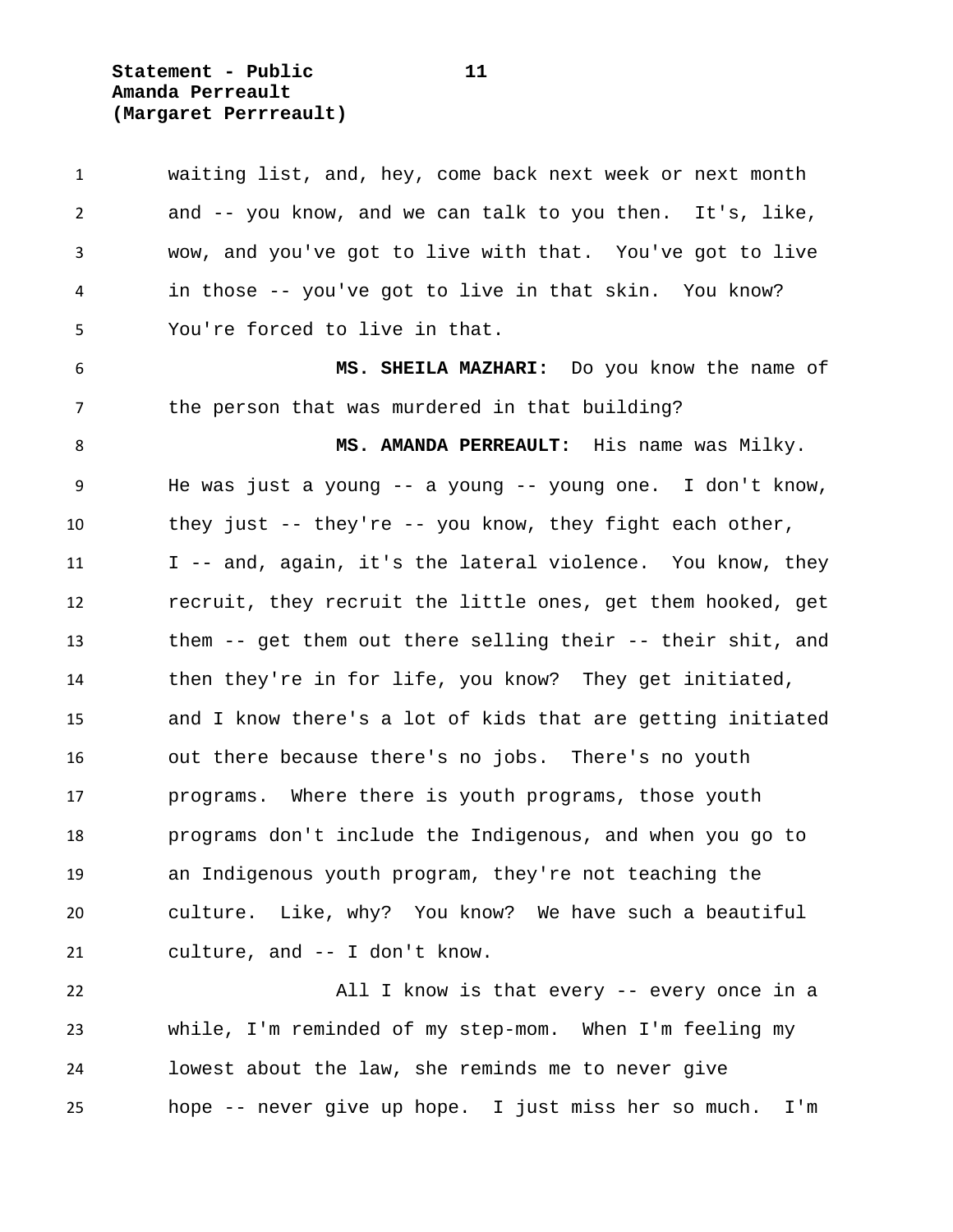**Statement - Public 11 Amanda Perreault (Margaret Perrreault)**

| $\mathbf{1}$ | waiting list, and, hey, come back next week or next month      |
|--------------|----------------------------------------------------------------|
| 2            | and -- you know, and we can talk to you then. It's, like,      |
| 3            | wow, and you've got to live with that. You've got to live      |
| 4            | in those -- you've got to live in that skin. You know?         |
| 5            | You're forced to live in that.                                 |
| 6            | MS. SHEILA MAZHARI: Do you know the name of                    |
| 7            | the person that was murdered in that building?                 |
| 8            | MS. AMANDA PERREAULT: His name was Milky.                      |
| 9            | He was just a young $--$ a young $--$ young one. I don't know, |
| 10           | they just -- they're -- you know, they fight each other,       |
| 11           | I -- and, again, it's the lateral violence. You know, they     |
| 12           | recruit, they recruit the little ones, get them hooked, get    |
| 13           | them -- get them out there selling their -- their shit, and    |
| 14           | then they're in for life, you know? They get initiated,        |
| 15           | and I know there's a lot of kids that are getting initiated    |
| 16           | out there because there's no jobs. There's no youth            |
| 17           | programs. Where there is youth programs, those youth           |
| 18           | programs don't include the Indigenous, and when you go to      |
| 19           | an Indigenous youth program, they're not teaching the          |
| 20           | culture. Like, why? You know? We have such a beautiful         |
| 21           | culture, and -- I don't know.                                  |
| 22           | All I know is that every -- every once in a                    |
| 23           | while, I'm reminded of my step-mom. When I'm feeling my        |
| 24           | lowest about the law, she reminds me to never give             |
| 25           | hope -- never give up hope. I just miss her so much.<br>I'm    |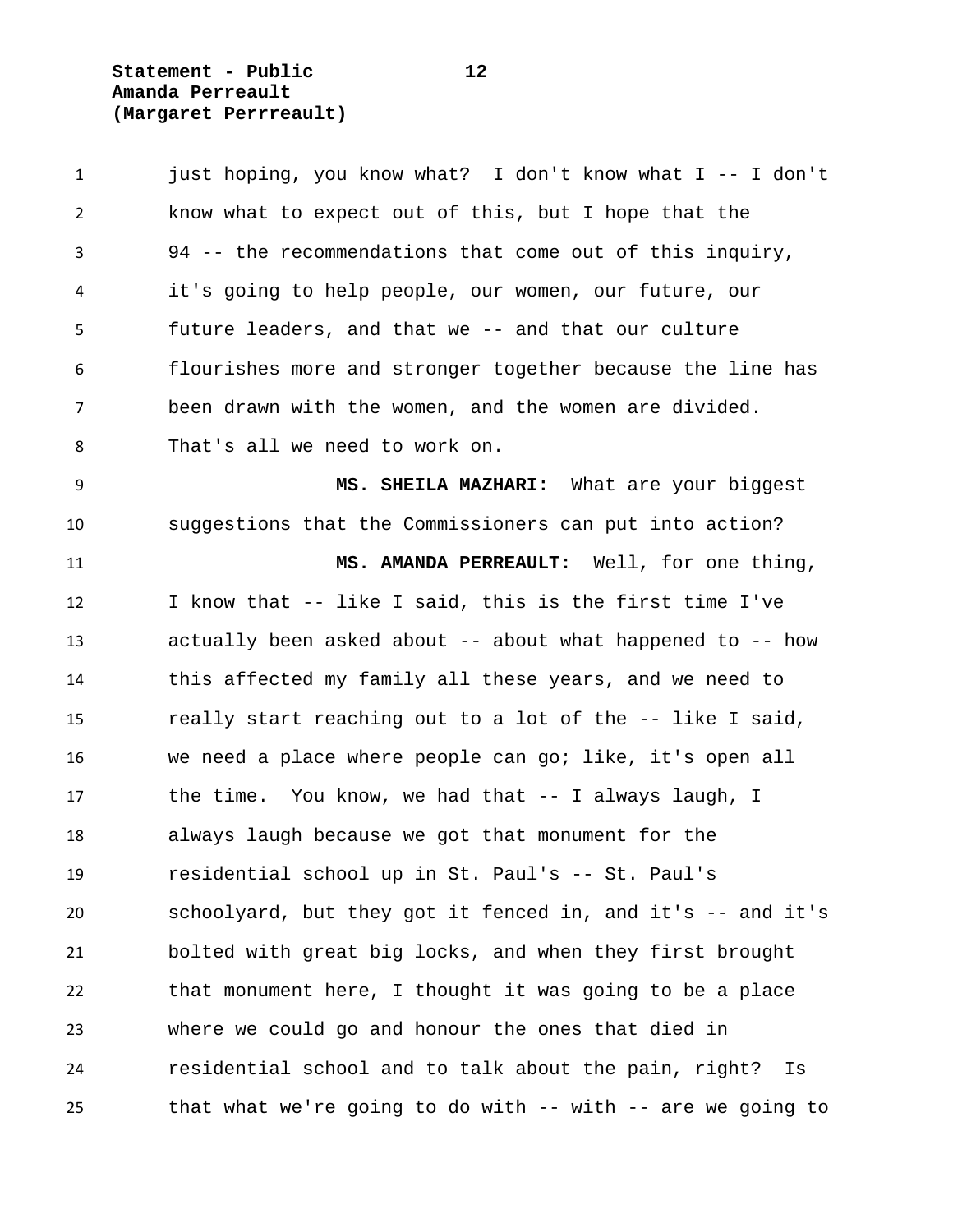**Statement - Public 12 Amanda Perreault (Margaret Perrreault)**

 just hoping, you know what? I don't know what I -- I don't know what to expect out of this, but I hope that the 94 -- the recommendations that come out of this inquiry, it's going to help people, our women, our future, our future leaders, and that we -- and that our culture flourishes more and stronger together because the line has been drawn with the women, and the women are divided. That's all we need to work on. **MS. SHEILA MAZHARI:** What are your biggest suggestions that the Commissioners can put into action? **MS. AMANDA PERREAULT:** Well, for one thing, I know that -- like I said, this is the first time I've actually been asked about -- about what happened to -- how this affected my family all these years, and we need to really start reaching out to a lot of the -- like I said, we need a place where people can go; like, it's open all the time. You know, we had that -- I always laugh, I always laugh because we got that monument for the residential school up in St. Paul's -- St. Paul's schoolyard, but they got it fenced in, and it's -- and it's bolted with great big locks, and when they first brought that monument here, I thought it was going to be a place where we could go and honour the ones that died in residential school and to talk about the pain, right? Is that what we're going to do with -- with -- are we going to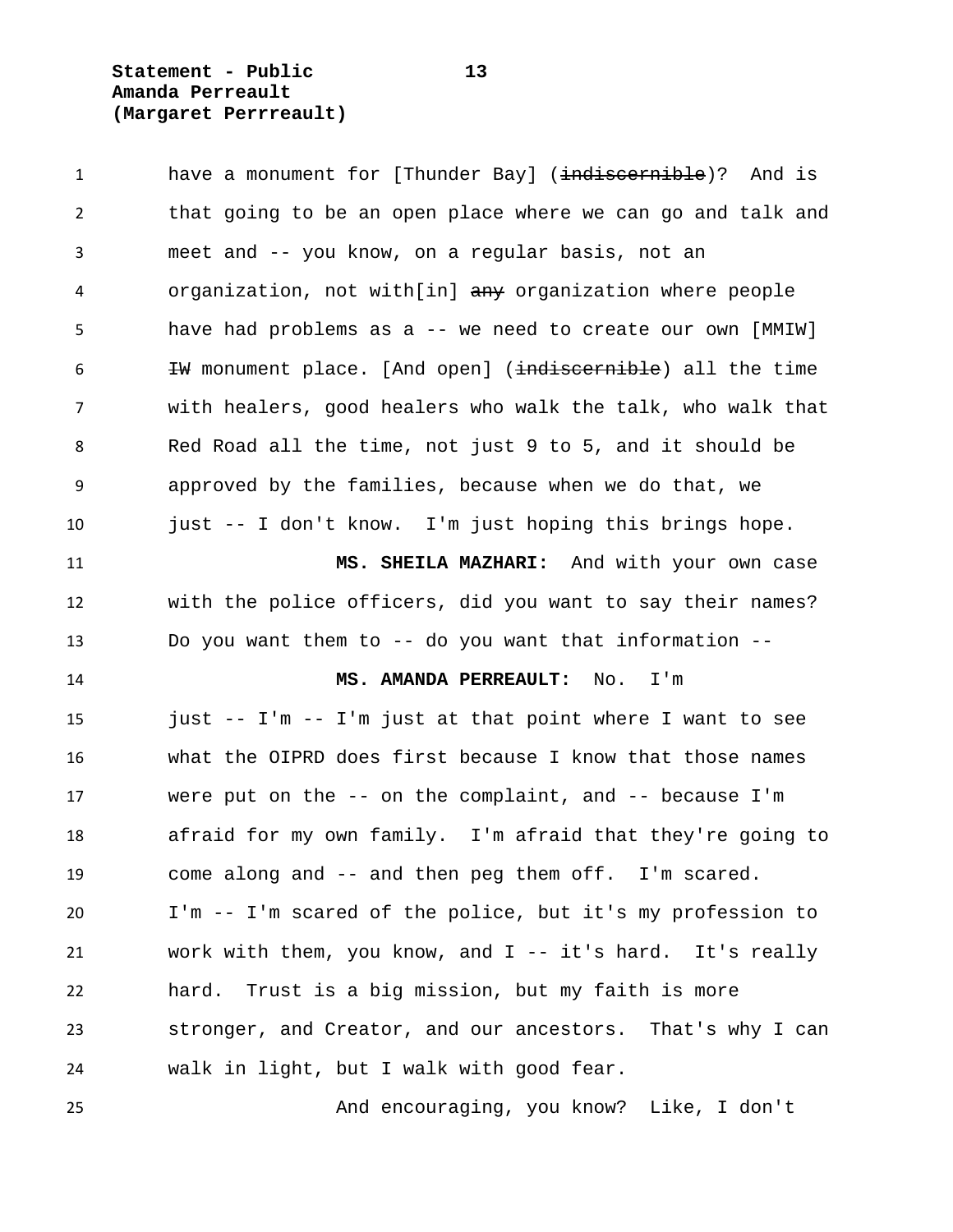**Statement - Public 13 Amanda Perreault (Margaret Perrreault)**

| 1              | have a monument for [Thunder Bay] ( <del>indiscernible</del> )? And is |
|----------------|------------------------------------------------------------------------|
| $\overline{2}$ | that going to be an open place where we can go and talk and            |
| 3              | meet and -- you know, on a regular basis, not an                       |
| 4              | organization, not with[in] any organization where people               |
| 5              | have had problems as a -- we need to create our own [MMIW]             |
| 6              | #W monument place. [And open] (indiscernible) all the time             |
| $\overline{7}$ | with healers, good healers who walk the talk, who walk that            |
| 8              | Red Road all the time, not just 9 to 5, and it should be               |
| 9              | approved by the families, because when we do that, we                  |
| 10             | just -- I don't know. I'm just hoping this brings hope.                |
| 11             | MS. SHEILA MAZHARI: And with your own case                             |
| 12             | with the police officers, did you want to say their names?             |
| 13             | Do you want them to -- do you want that information --                 |
| 14             | MS. AMANDA PERREAULT: No. I'm                                          |
| 15             | just -- I'm -- I'm just at that point where I want to see              |
| 16             | what the OIPRD does first because I know that those names              |
| 17             | were put on the $--$ on the complaint, and $--$ because I'm            |
| 18             | afraid for my own family. I'm afraid that they're going to             |
| 19             | come along and -- and then peg them off. I'm scared.                   |
| 20             | I'm -- I'm scared of the police, but it's my profession to             |
| 21             | work with them, you know, and $I - - it$ 's hard. It's really          |
| 22             | Trust is a big mission, but my faith is more<br>hard.                  |
| 23             | stronger, and Creator, and our ancestors. That's why I can             |
| 24             | walk in light, but I walk with good fear.                              |
| 25             | And encouraging, you know? Like, I don't                               |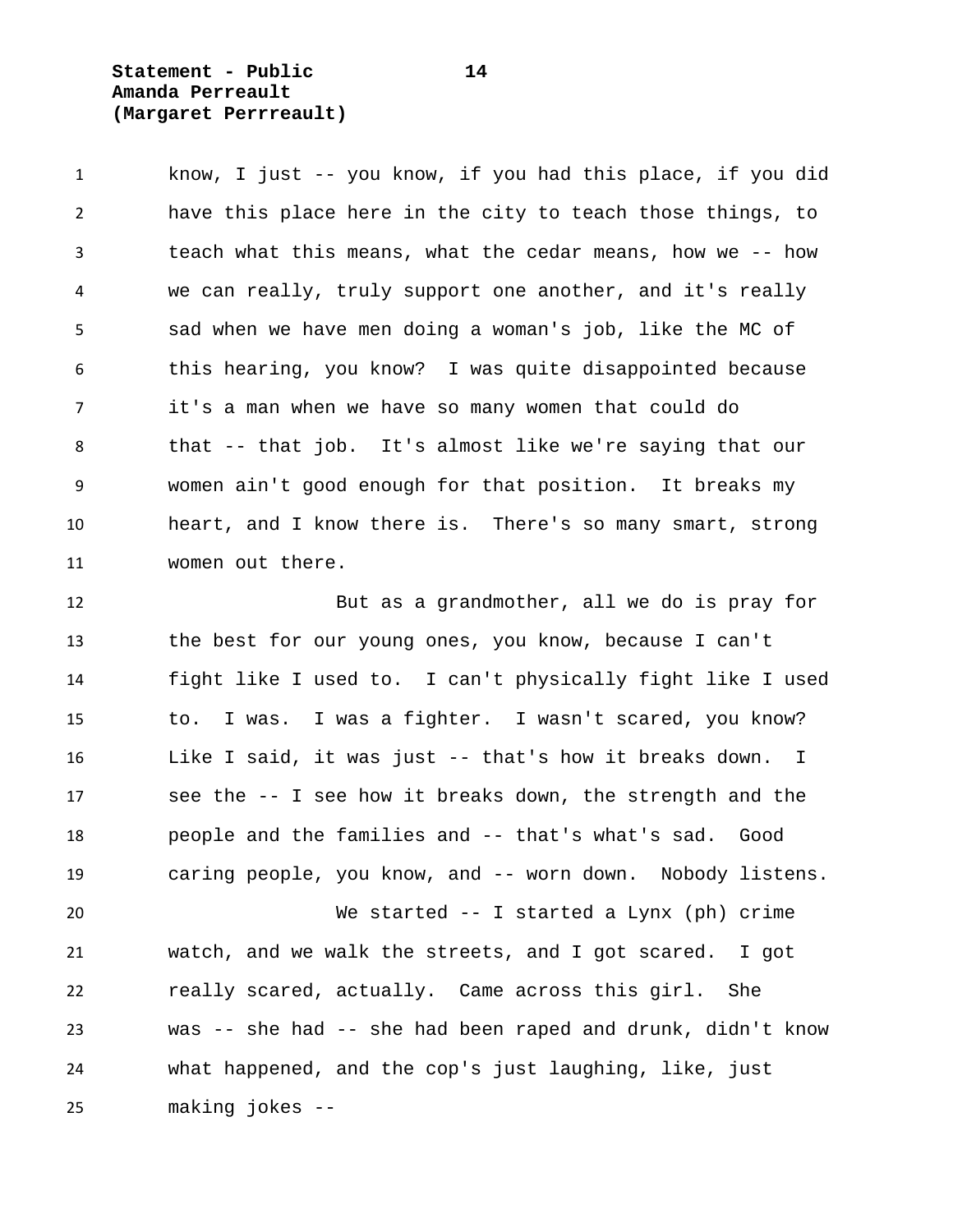**Statement - Public 14 Amanda Perreault (Margaret Perrreault)**

 know, I just -- you know, if you had this place, if you did have this place here in the city to teach those things, to teach what this means, what the cedar means, how we -- how we can really, truly support one another, and it's really sad when we have men doing a woman's job, like the MC of this hearing, you know? I was quite disappointed because it's a man when we have so many women that could do that -- that job. It's almost like we're saying that our women ain't good enough for that position. It breaks my heart, and I know there is. There's so many smart, strong women out there.

 But as a grandmother, all we do is pray for the best for our young ones, you know, because I can't fight like I used to. I can't physically fight like I used to. I was. I was a fighter. I wasn't scared, you know? Like I said, it was just -- that's how it breaks down. I see the -- I see how it breaks down, the strength and the people and the families and -- that's what's sad. Good caring people, you know, and -- worn down. Nobody listens.

 We started -- I started a Lynx (ph) crime watch, and we walk the streets, and I got scared. I got really scared, actually. Came across this girl. She was -- she had -- she had been raped and drunk, didn't know what happened, and the cop's just laughing, like, just making jokes --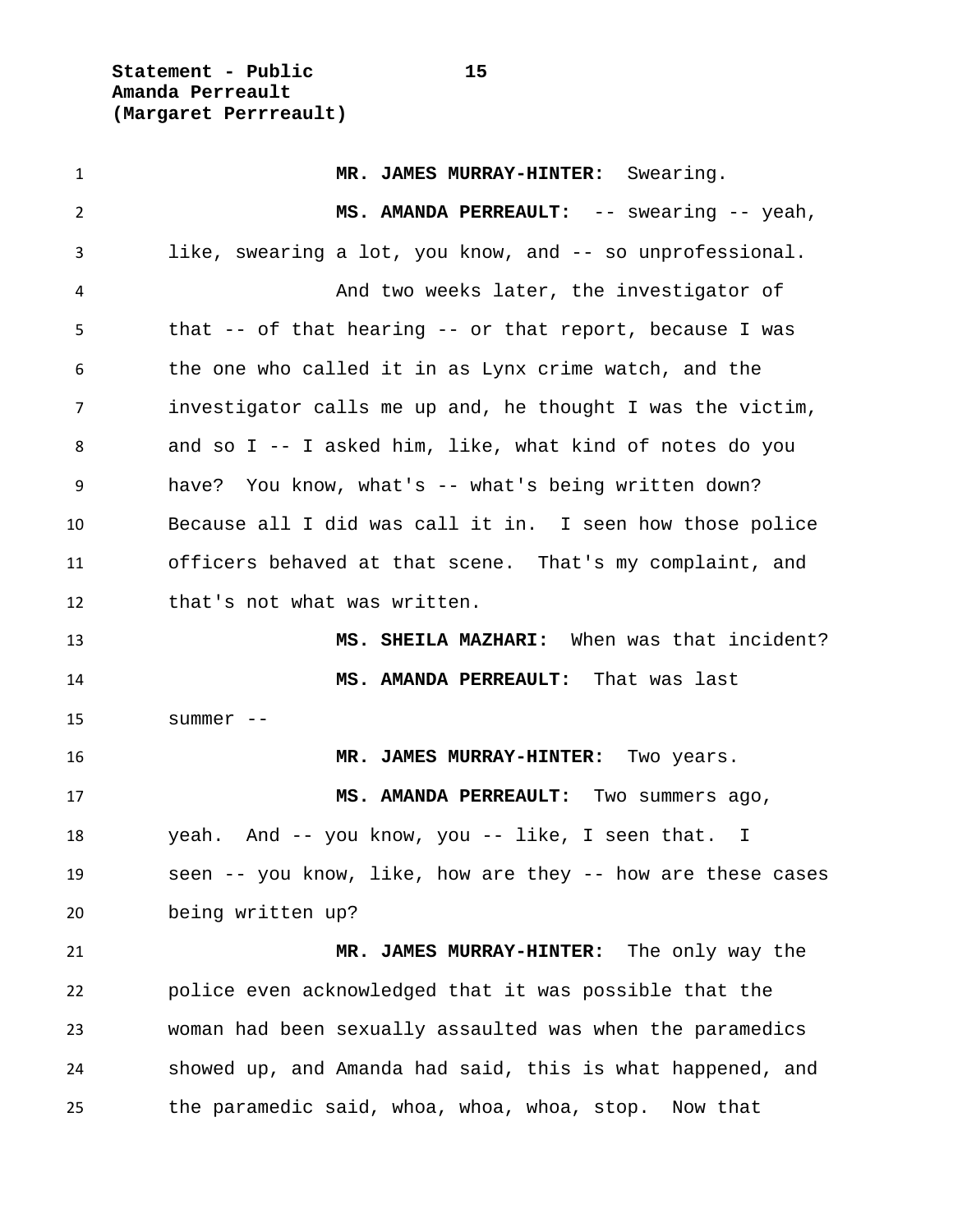**Statement - Public 15 Amanda Perreault (Margaret Perrreault)**

 **MR. JAMES MURRAY-HINTER:** Swearing. **MS. AMANDA PERREAULT:** -- swearing -- yeah, like, swearing a lot, you know, and -- so unprofessional. And two weeks later, the investigator of that -- of that hearing -- or that report, because I was the one who called it in as Lynx crime watch, and the investigator calls me up and, he thought I was the victim, and so I -- I asked him, like, what kind of notes do you have? You know, what's -- what's being written down? Because all I did was call it in. I seen how those police officers behaved at that scene. That's my complaint, and that's not what was written. **MS. SHEILA MAZHARI:** When was that incident? **MS. AMANDA PERREAULT:** That was last summer -- **MR. JAMES MURRAY-HINTER:** Two years. **MS. AMANDA PERREAULT:** Two summers ago, yeah. And -- you know, you -- like, I seen that. I seen -- you know, like, how are they -- how are these cases being written up? **MR. JAMES MURRAY-HINTER:** The only way the police even acknowledged that it was possible that the woman had been sexually assaulted was when the paramedics showed up, and Amanda had said, this is what happened, and the paramedic said, whoa, whoa, whoa, stop. Now that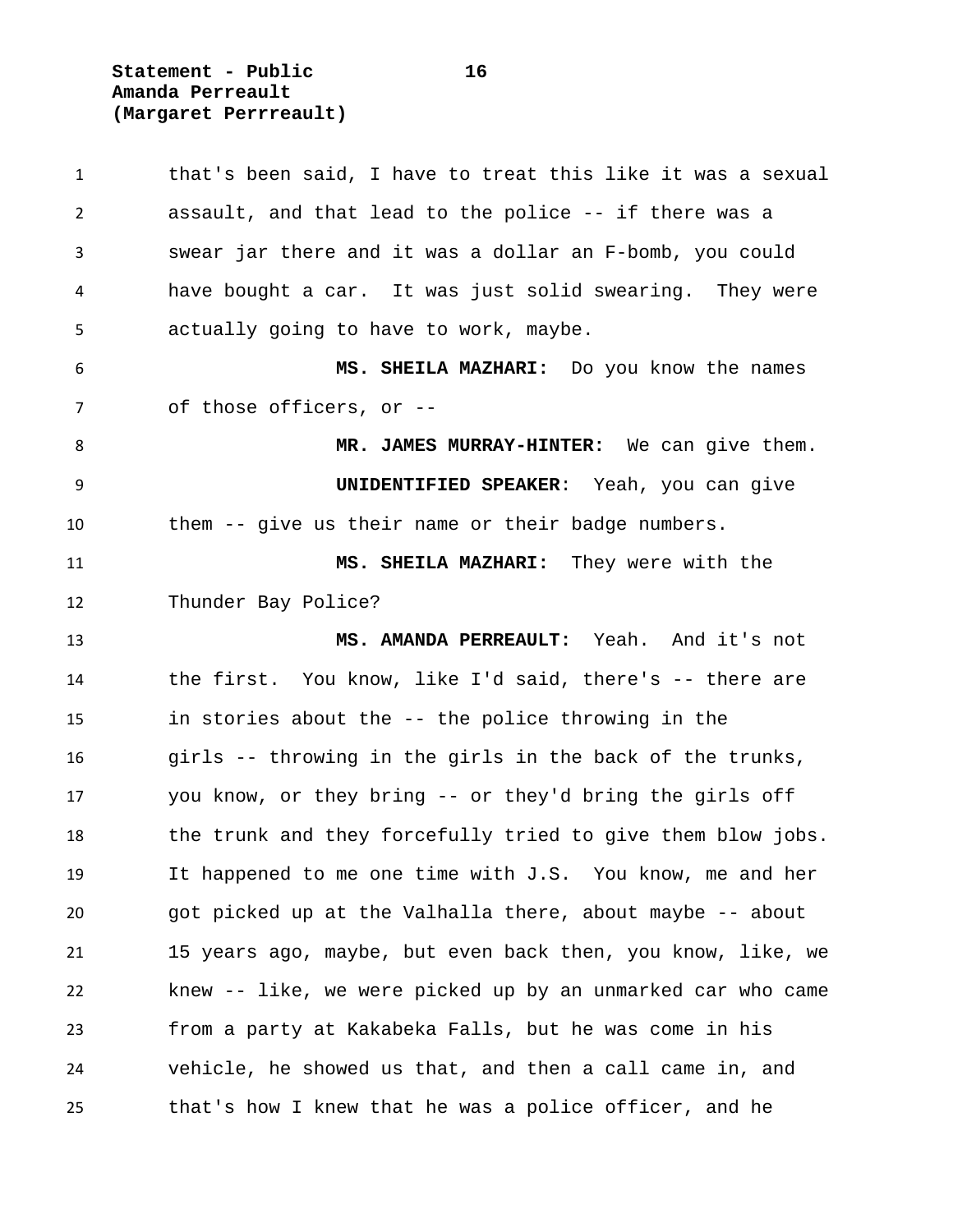**Statement - Public 16 Amanda Perreault (Margaret Perrreault)**

 that's been said, I have to treat this like it was a sexual assault, and that lead to the police -- if there was a swear jar there and it was a dollar an F-bomb, you could have bought a car. It was just solid swearing. They were actually going to have to work, maybe. **MS. SHEILA MAZHARI:** Do you know the names of those officers, or -- **MR. JAMES MURRAY-HINTER:** We can give them. **UNIDENTIFIED SPEAKER**: Yeah, you can give them -- give us their name or their badge numbers. **MS. SHEILA MAZHARI:** They were with the Thunder Bay Police? **MS. AMANDA PERREAULT:** Yeah. And it's not the first. You know, like I'd said, there's -- there are in stories about the -- the police throwing in the girls -- throwing in the girls in the back of the trunks, you know, or they bring -- or they'd bring the girls off 18 the trunk and they forcefully tried to give them blow jobs. It happened to me one time with J.S. You know, me and her got picked up at the Valhalla there, about maybe -- about 15 years ago, maybe, but even back then, you know, like, we knew -- like, we were picked up by an unmarked car who came from a party at Kakabeka Falls, but he was come in his vehicle, he showed us that, and then a call came in, and that's how I knew that he was a police officer, and he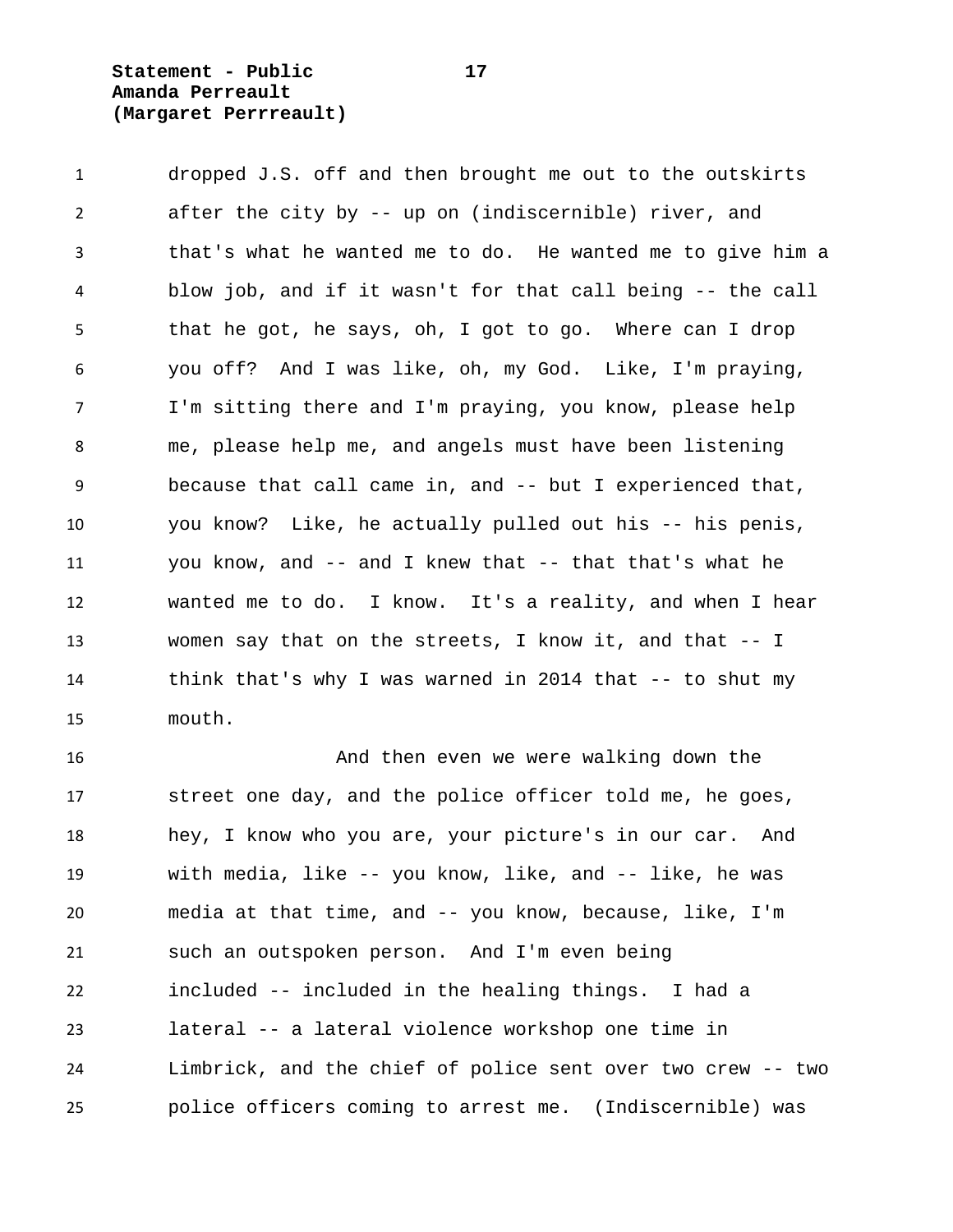**Statement - Public 17 Amanda Perreault (Margaret Perrreault)**

 dropped J.S. off and then brought me out to the outskirts after the city by -- up on (indiscernible) river, and that's what he wanted me to do. He wanted me to give him a blow job, and if it wasn't for that call being -- the call that he got, he says, oh, I got to go. Where can I drop you off? And I was like, oh, my God. Like, I'm praying, I'm sitting there and I'm praying, you know, please help me, please help me, and angels must have been listening because that call came in, and -- but I experienced that, you know? Like, he actually pulled out his -- his penis, you know, and -- and I knew that -- that that's what he wanted me to do. I know. It's a reality, and when I hear women say that on the streets, I know it, and that -- I think that's why I was warned in 2014 that -- to shut my mouth.

 And then even we were walking down the street one day, and the police officer told me, he goes, hey, I know who you are, your picture's in our car. And with media, like -- you know, like, and -- like, he was media at that time, and -- you know, because, like, I'm such an outspoken person. And I'm even being included -- included in the healing things. I had a lateral -- a lateral violence workshop one time in Limbrick, and the chief of police sent over two crew -- two police officers coming to arrest me. (Indiscernible) was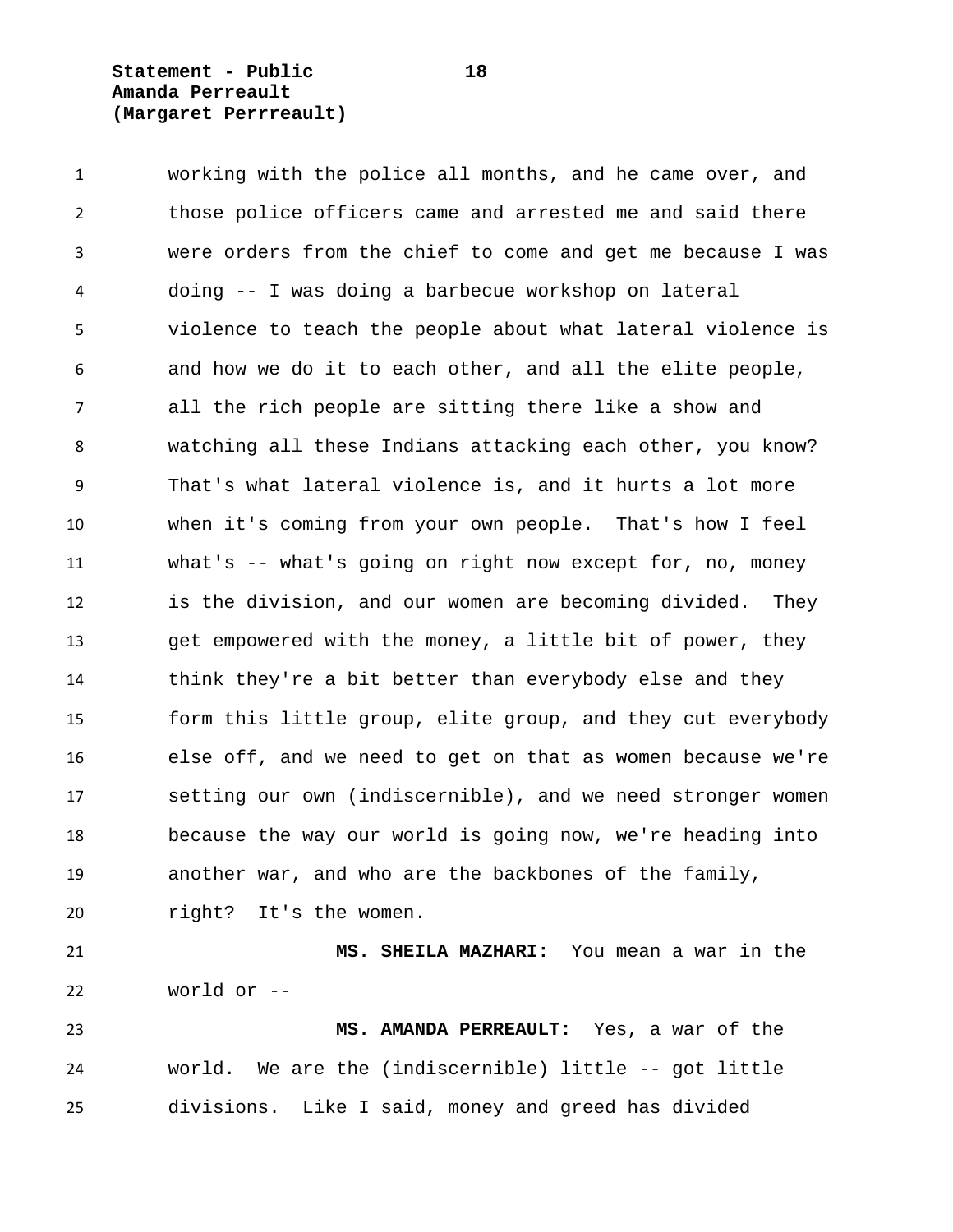**Statement - Public 18 Amanda Perreault (Margaret Perrreault)**

world or --

 working with the police all months, and he came over, and those police officers came and arrested me and said there were orders from the chief to come and get me because I was doing -- I was doing a barbecue workshop on lateral violence to teach the people about what lateral violence is and how we do it to each other, and all the elite people, all the rich people are sitting there like a show and watching all these Indians attacking each other, you know? That's what lateral violence is, and it hurts a lot more when it's coming from your own people. That's how I feel what's -- what's going on right now except for, no, money is the division, and our women are becoming divided. They get empowered with the money, a little bit of power, they think they're a bit better than everybody else and they form this little group, elite group, and they cut everybody else off, and we need to get on that as women because we're setting our own (indiscernible), and we need stronger women because the way our world is going now, we're heading into another war, and who are the backbones of the family, right? It's the women. **MS. SHEILA MAZHARI:** You mean a war in the

 **MS. AMANDA PERREAULT:** Yes, a war of the world. We are the (indiscernible) little -- got little divisions. Like I said, money and greed has divided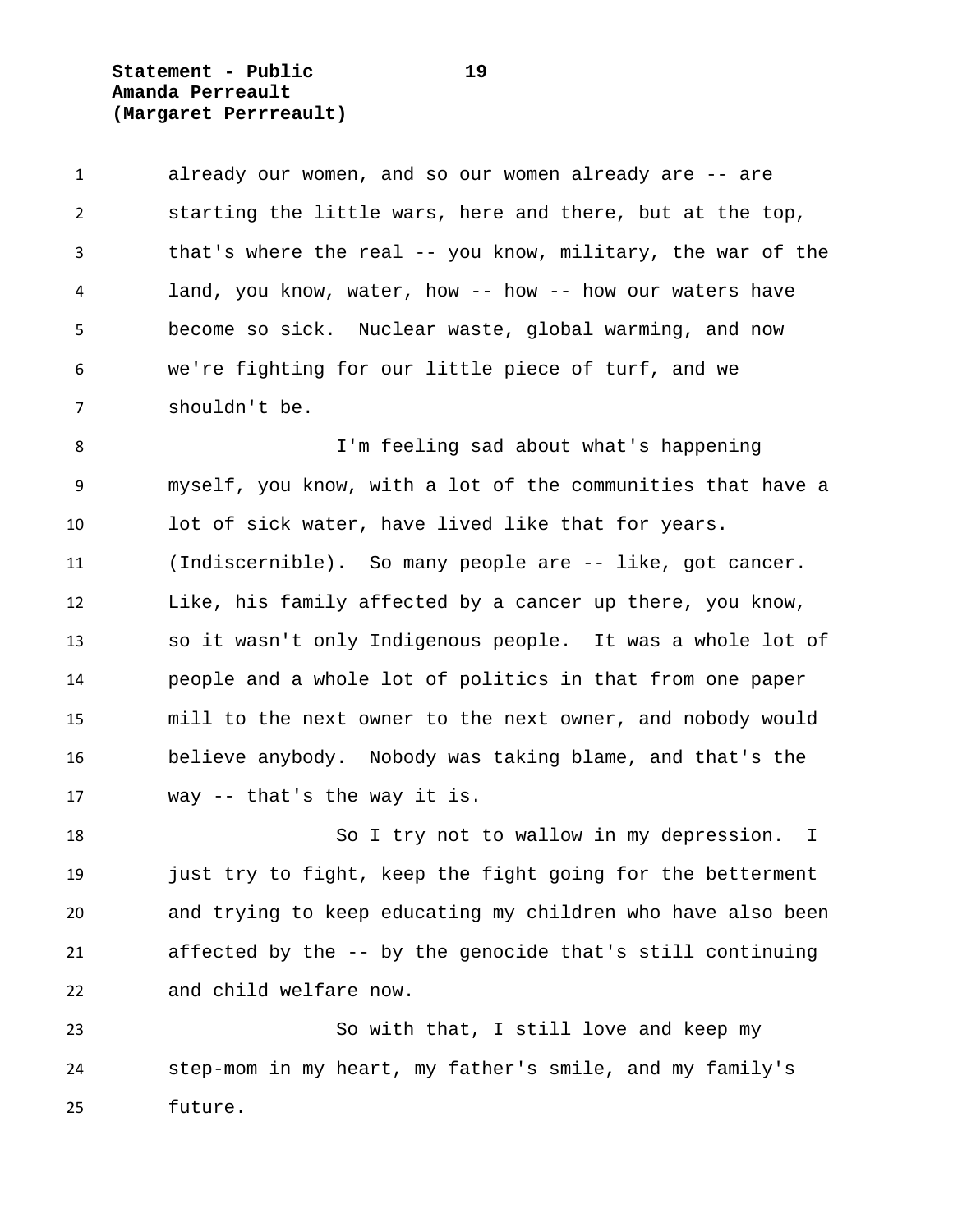**Statement - Public 19 Amanda Perreault (Margaret Perrreault)**

 already our women, and so our women already are -- are starting the little wars, here and there, but at the top, that's where the real -- you know, military, the war of the land, you know, water, how -- how -- how our waters have become so sick. Nuclear waste, global warming, and now we're fighting for our little piece of turf, and we shouldn't be.

 I'm feeling sad about what's happening myself, you know, with a lot of the communities that have a lot of sick water, have lived like that for years. (Indiscernible). So many people are -- like, got cancer. Like, his family affected by a cancer up there, you know, so it wasn't only Indigenous people. It was a whole lot of people and a whole lot of politics in that from one paper mill to the next owner to the next owner, and nobody would believe anybody. Nobody was taking blame, and that's the way -- that's the way it is.

18 So I try not to wallow in my depression. I 19 just try to fight, keep the fight going for the betterment and trying to keep educating my children who have also been affected by the -- by the genocide that's still continuing and child welfare now.

 So with that, I still love and keep my step-mom in my heart, my father's smile, and my family's future.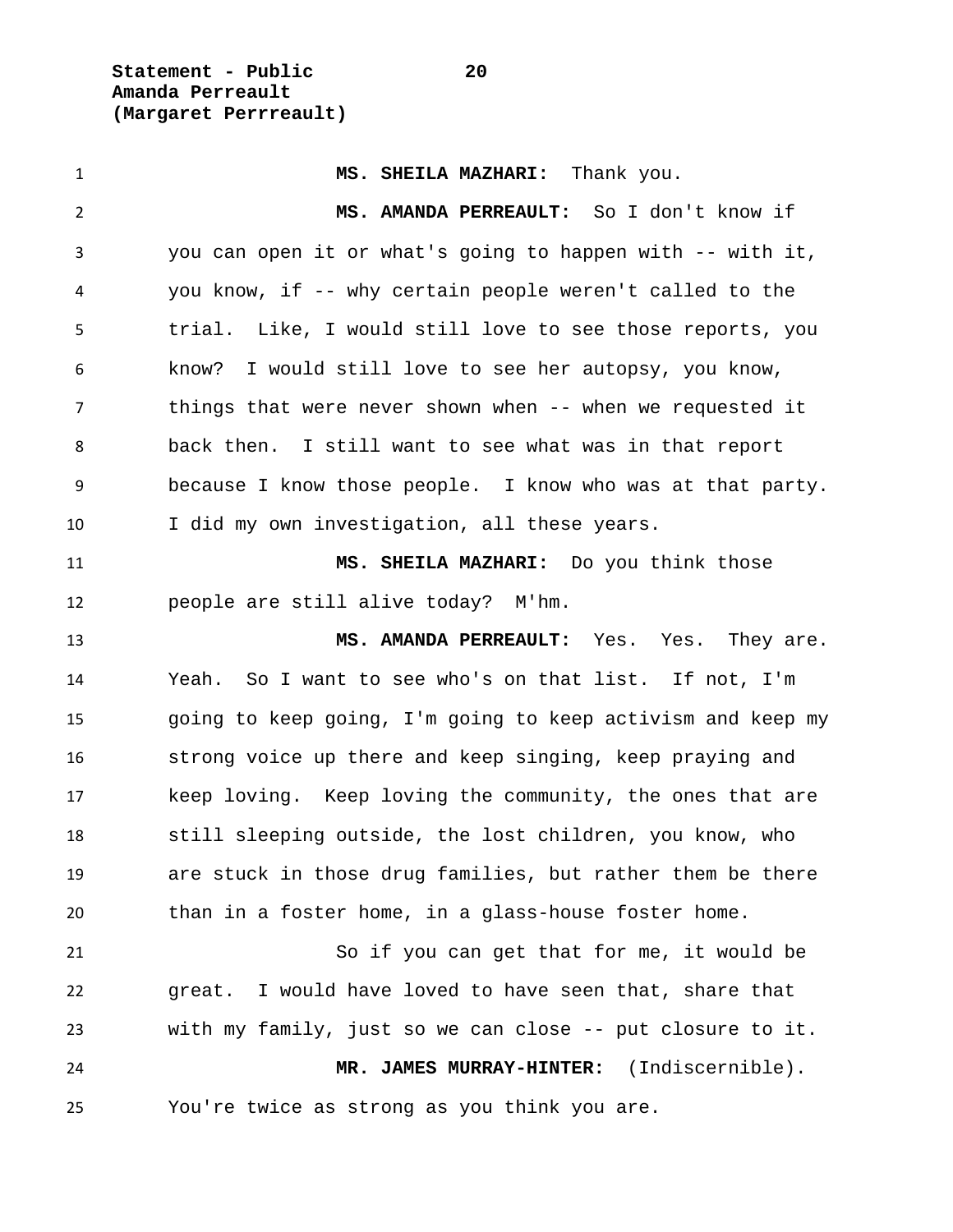**Statement - Public 20 Amanda Perreault (Margaret Perrreault)**

 **MS. SHEILA MAZHARI:** Thank you. **MS. AMANDA PERREAULT:** So I don't know if you can open it or what's going to happen with -- with it, you know, if -- why certain people weren't called to the trial. Like, I would still love to see those reports, you know? I would still love to see her autopsy, you know, 7 things that were never shown when -- when we requested it back then. I still want to see what was in that report because I know those people. I know who was at that party. I did my own investigation, all these years. **MS. SHEILA MAZHARI:** Do you think those people are still alive today? M'hm. **MS. AMANDA PERREAULT:** Yes. Yes. They are. Yeah. So I want to see who's on that list. If not, I'm going to keep going, I'm going to keep activism and keep my strong voice up there and keep singing, keep praying and keep loving. Keep loving the community, the ones that are still sleeping outside, the lost children, you know, who are stuck in those drug families, but rather them be there than in a foster home, in a glass-house foster home. So if you can get that for me, it would be great. I would have loved to have seen that, share that with my family, just so we can close -- put closure to it. **MR. JAMES MURRAY-HINTER:** (Indiscernible). You're twice as strong as you think you are.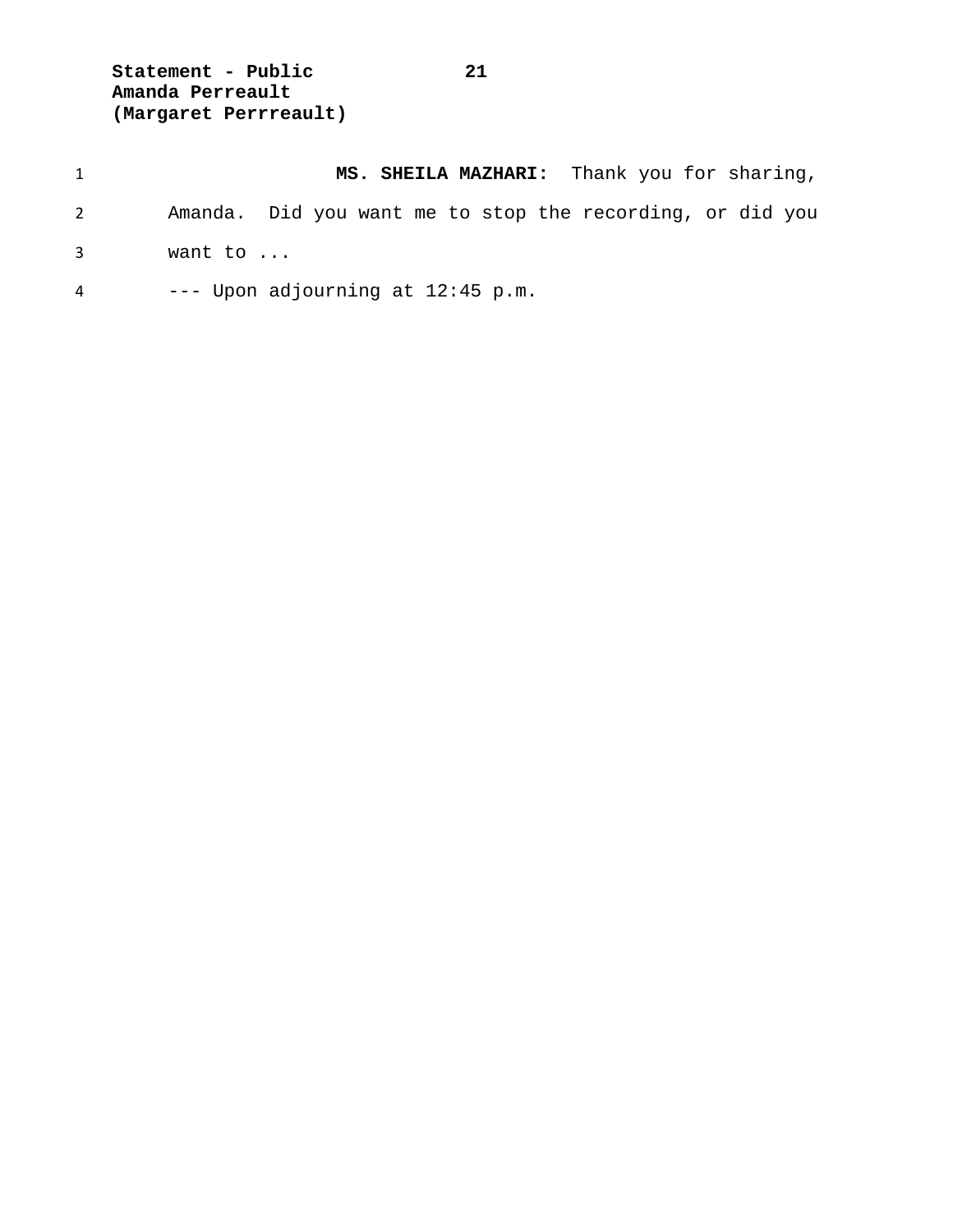**Statement - Public 21 Amanda Perreault (Margaret Perrreault)**

|             | MS. SHEILA MAZHARI: Thank you for sharing,                |
|-------------|-----------------------------------------------------------|
| 2           | Amanda. Did you want me to stop the recording, or did you |
| $3^{\circ}$ | want to                                                   |
| 4           | $---$ Upon adjourning at $12:45$ p.m.                     |